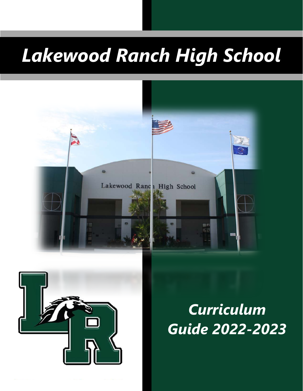# *Lakewood Ranch High School*





*Curriculum Guide 2022-2023*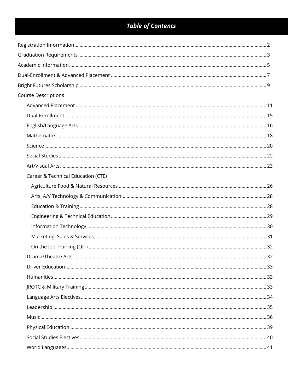## **Table of Contents**

| <b>Course Descriptions</b>         |  |
|------------------------------------|--|
|                                    |  |
|                                    |  |
|                                    |  |
|                                    |  |
|                                    |  |
|                                    |  |
|                                    |  |
| Career & Technical Education (CTE) |  |
|                                    |  |
|                                    |  |
|                                    |  |
|                                    |  |
|                                    |  |
|                                    |  |
|                                    |  |
|                                    |  |
|                                    |  |
|                                    |  |
|                                    |  |
|                                    |  |
|                                    |  |
|                                    |  |
|                                    |  |
|                                    |  |
|                                    |  |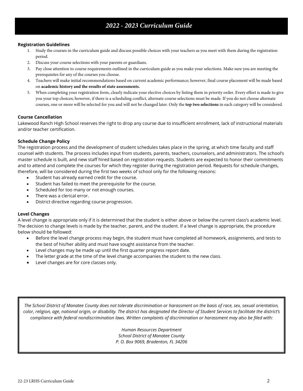## *2022 - 2023 Curriculum Guide*

#### **Registration Guidelines**

- 1. Study the courses in the curriculum guide and discuss possible choices with your teachers as you meet with them during the registration period.
- 2. Discuss your course selections with your parents or guardians.
- 3. Pay close attention to course requirements outlined in the curriculum guide as you make your selections. Make sure you are meeting the prerequisites for any of the courses you choose.
- 4. Teachers will make initial recommendations based on current academic performance; however, final course placement will be made based on **academic history and the results of state assessments.**
- 5. When completing your registration form, clearly indicate your elective choices by listing them in priority order. Every effort is made to give you your top choices; however, if there is a scheduling conflict, alternate course selections must be made. If you do not choose alternate courses, one or more will be selected for you and will not be changed later. Only the **top two selections** in each category will be considered.

#### **Course Cancellation**

Lakewood Ranch High School reserves the right to drop any course due to insufficient enrollment, lack of instructional materials and/or teacher certification.

#### **Schedule Change Policy**

The registration process and the development of student schedules takes place in the spring, at which time faculty and staff counsel with students. The process includes input from students, parents, teachers, counselors, and administrators. The school's master schedule is built, and new staff hired based on registration requests. Students are expected to honor their commitments and to attend and complete the courses for which they register during the registration period. Requests for schedule changes, therefore, will be considered during the first two weeks of school only for the following reasons:

- Student has already earned credit for the course.
- Student has failed to meet the prerequisite for the course.
- Scheduled for too many or not enough courses.
- There was a clerical error.
- District directive regarding course progression.

#### **Level Changes**

A level change is appropriate only if it is determined that the student is either above or below the current class's academic level. The decision to change levels is made by the teacher, parent, and the student. If a level change is appropriate, the procedure below should be followed:

- Before the level change process may begin, the student must have completed all homework, assignments, and tests to the best of his/her ability and must have sought assistance from the teacher.
- Level changes may be made up until the first quarter progress report date.
- The letter grade at the time of the level change accompanies the student to the new class.
- Level changes are for core classes only.

*The School District of Manatee County does not tolerate discrimination or harassment on the basis of race, sex, sexual orientation, color, religion, age, national origin, or disability. The district has designated the Director of Student Services to facilitate the district's compliance with federal nondiscrimination laws. Written complaints of discrimination or harassment may also be filed with:*

> *Human Resources Department School District of Manatee County P. O. Box 9069, Bradenton, FL 34206*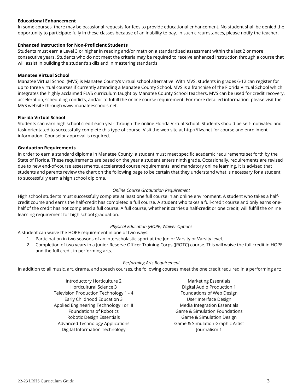#### **Educational Enhancement**

In some courses, there may be occasional requests for fees to provide educational enhancement. No student shall be denied the opportunity to participate fully in these classes because of an inability to pay. In such circumstances, please notify the teacher.

#### **Enhanced Instruction for Non-Proficient Students**

Students must earn a Level 3 or higher in reading and/or math on a standardized assessment within the last 2 or more consecutive years. Students who do not meet the criteria may be required to receive enhanced instruction through a course that will assist in building the student's skills and in mastering standards.

#### **Manatee Virtual School**

Manatee Virtual School (MVS) is Manatee County's virtual school alternative. With MVS, students in grades 6-12 can register for up to three virtual courses if currently attending a Manatee County School. MVS is a franchise of the Florida Virtual School which integrates the highly acclaimed FLVS curriculum taught by Manatee County School teachers. MVS can be used for credit recovery, acceleration, scheduling conflicts, and/or to fulfill the online course requirement. For more detailed information, please visit the MVS website through [www.manateeschools.net.](http://www.manateeschools.net) 

#### **Florida Virtual School**

Students can earn high school credit each year through the online Florida Virtual School. Students should be self-motivated and task-orientated to successfully complete this type of course. Visit the web site at [http://flvs.net fo](http://flvs.net)r course and enrollment information. Counselor approval is required.

#### **Graduation Requirements**

In order to earn a standard diploma in Manatee County, a student must meet specific academic requirements set forth by the State of Florida. These requirements are based on the year a student enters ninth grade. Occasionally, requirements are revised due to new end-of-course assessments, accelerated course requirements, and mandatory online learning. It is advised that students and parents review the chart on the following page to be certain that they understand what is necessary for a student to successfully earn a high school diploma.

#### *Online Course Graduation Requirement*

High school students must successfully complete at least one full course in an online environment. A student who takes a halfcredit course and earns the half-credit has completed a full course. A student who takes a full-credit course and only earns onehalf of the credit has not completed a full course. A full course, whether it carries a half-credit or one credit, will fulfill the online learning requirement for high school graduation.

#### *Physical Education (HOPE) Waiver Options*

A student can waive the HOPE requirement in one of two ways:

- 1. Participation in two seasons of an interscholastic sport at the Junior Varsity or Varsity level.
- 2. Completion of two years in a Junior Reserve Officer Training Corps (JROTC) course. This will waive the full credit in HOPE and the full credit in performing arts.

#### *Performing Arts Requirement*

In addition to all music, art, drama, and speech courses, the following courses meet the one credit required in a performing art:

- Introductory Horticulture 2 Horticultural Science 3 Television Production Technology 1 - 4 Early Childhood Education 3 Applied Engineering Technology I or III Foundations of Robotics Robotic Design Essentials Advanced Technology Applications Digital Information Technology
- Marketing Essentials Digital Audio Production 1 Foundations of Web Design User Interface Design Media Integration Essentials Game & Simulation Foundations Game & Simulation Design Game & Simulation Graphic Artist Journalism 1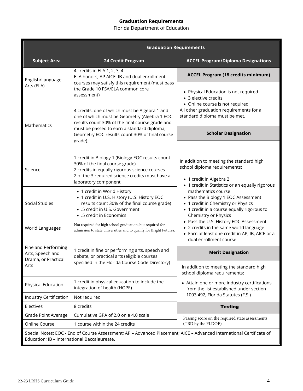#### **Graduation Requirements**

Florida Department of Education

|                                                                                                                  | <b>Graduation Requirements</b>                                                                                                                                                                                 |                                                                                                                                                                       |  |
|------------------------------------------------------------------------------------------------------------------|----------------------------------------------------------------------------------------------------------------------------------------------------------------------------------------------------------------|-----------------------------------------------------------------------------------------------------------------------------------------------------------------------|--|
| <b>Subject Area</b>                                                                                              | 24 Credit Program                                                                                                                                                                                              | <b>ACCEL Program/Diploma Designations</b>                                                                                                                             |  |
| English/Language                                                                                                 | 4 credits in ELA 1, 2, 3, 4<br>ELA honors, AP AICE, IB and dual enrollment                                                                                                                                     | <b>ACCEL Program (18 credits minimum)</b>                                                                                                                             |  |
| courses may satisfy this requirement (must pass<br>Arts (ELA)<br>the Grade 10 FSA/ELA common core<br>assessment) |                                                                                                                                                                                                                | • Physical Education is not required<br>• 3 elective credits                                                                                                          |  |
| Mathematics                                                                                                      | 4 credits, one of which must be Algebra 1 and<br>one of which must be Geometry (Algebra 1 EOC<br>results count 30% of the final course grade and                                                               | • Online course is not required<br>All other graduation requirements for a<br>standard diploma must be met.                                                           |  |
| must be passed to earn a standard diploma;<br>Geometry EOC results count 30% of final course<br>grade).          |                                                                                                                                                                                                                | <b>Scholar Designation</b>                                                                                                                                            |  |
| Science                                                                                                          | 1 credit in Biology 1 (Biology EOC results count<br>30% of the final course grade)<br>2 credits in equally rigorous science courses<br>2 of the 3 required science credits must have a<br>laboratory component | In addition to meeting the standard high<br>school diploma requirements:<br>• 1 credit in Algebra 2<br>• 1 credit in Statistics or an equally rigorous                |  |
| <b>Social Studies</b>                                                                                            | • 1 credit in World History<br>• 1 credit in U.S. History (U.S. History EOC<br>results count 30% of the final course grade)<br>• .5 credit in U.S. Government<br>• .5 credit in Economics                      | mathematics course<br>• Pass the Biology 1 EOC Assessment<br>• 1 credit in Chemistry or Physics<br>• 1 credit in a course equally rigorous to<br>Chemistry or Physics |  |
| World Languages                                                                                                  | Not required for high school graduation, but required for<br>admission to state universities and to qualify for Bright Futures.                                                                                | • Pass the U.S. History EOC Assessment<br>• 2 credits in the same world language<br>• Earn at least one credit in AP, IB, AICE or a<br>dual enrollment course.        |  |
| Fine and Performing<br>Arts, Speech and<br>Drama, or Practical<br>Arts                                           | 1 credit in fine or performing arts, speech and<br>debate, or practical arts (eligible courses<br>specified in the Florida Course Code Directory)                                                              | <b>Merit Designation</b><br>In addition to meeting the standard high                                                                                                  |  |
| Physical Education                                                                                               | 1 credit in physical education to include the<br>integration of health (HOPE)                                                                                                                                  | school diploma requirements:<br>• Attain one or more industry certifications<br>from the list established under section                                               |  |
| Industry Certification                                                                                           | Not required                                                                                                                                                                                                   | 1003.492, Florida Statutes (F.S.)                                                                                                                                     |  |
| Electives                                                                                                        | 8 credits                                                                                                                                                                                                      | <b>Testing</b>                                                                                                                                                        |  |
| Grade Point Average                                                                                              | Cumulative GPA of 2.0 on a 4.0 scale                                                                                                                                                                           | Passing score on the required state assessments                                                                                                                       |  |
| Online Course                                                                                                    | 1 course within the 24 credits                                                                                                                                                                                 | (TBD by the FLDOE)                                                                                                                                                    |  |
| Education; IB - International Baccalaureate.                                                                     | Special Notes: EOC - End of Course Assessment; AP - Advanced Placement; AICE - Advanced International Certificate of                                                                                           |                                                                                                                                                                       |  |

ċ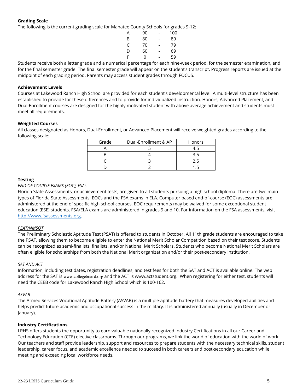#### **Grading Scale**

The following is the current grading scale for Manatee County Schools for grades 9-12:

| А | 90 | - | 100 |
|---|----|---|-----|
| B | 80 | - | 89  |
| C | 70 | - | 79  |
| D | 60 | - | 69  |
| F | 0  |   | 59  |

Students receive both a letter grade and a numerical percentage for each nine-week period, for the semester examination, and for the final semester grade. The final semester grade will appear on the student's transcript. Progress reports are issued at the midpoint of each grading period. Parents may access student grades through FOCUS.

#### **Achievement Levels**

Courses at Lakewood Ranch High School are provided for each student's developmental level. A multi-level structure has been established to provide for these differences and to provide for individualized instruction. Honors, Advanced Placement, and Dual-Enrollment courses are designed for the highly motivated student with above average achievement and students must meet all requirements.

#### **Weighted Courses**

All classes designated as Honors, Dual-Enrollment, or Advanced Placement will receive weighted grades according to the following scale:

| Grade | Dual-Enrollment & AP | <b>Honors</b> |
|-------|----------------------|---------------|
|       |                      |               |
|       |                      |               |
|       |                      |               |
|       |                      |               |

#### **Testing**

#### *END OF COURSE EXAMS (EOC), FSAs*

Florida State Assessments, or achievement tests, are given to all students pursuing a high school diploma. There are two main types of Florida State Assessments: EOCs and the FSA exams in ELA. Computer based end-of-course (EOC) assessments are administered at the end of specific high school courses. EOC requirements may be waived for some exceptional student education (ESE) students. FSA/ELA exams are administered in grades 9 and 10. For information on the FSA assessments, visit [http://www.fsassessments.org.](http://www.fsassessments.org/)

#### *PSAT/NMSQT*

The Preliminary Scholastic Aptitude Test (PSAT) is offered to students in October. All 11th grade students are encouraged to take the PSAT, allowing them to become eligible to enter the National Merit Scholar Competition based on their test score. Students can be recognized as semi-finalists, finalists, and/or National Merit Scholars. Students who become National Merit Scholars are often eligible for scholarships from both the National Merit organization and/or their post-secondary institution.

#### *SAT AND ACT*

Information, including test dates, registration deadlines, and test fees for both the SAT and ACT is available online. The web address for the SAT is [www.collegeboard.org](http://www.collegeboard.org) and the ACT is [www.actstudent.org.](http://www.actstudent.org) When registering for either test, students will need the CEEB code for Lakewood Ranch High School which is 100-162.

#### *ASVAB*

The Armed Services Vocational Aptitude Battery (ASVAB) is a multiple-aptitude battery that measures developed abilities and helps predict future academic and occupational success in the military. It is administered annually (usually in December or January).

#### **Industry Certifications**

LRHS offers students the opportunity to earn valuable nationally recognized Industry Certifications in all our Career and Technology Education (CTE) elective classrooms. Through our programs, we link the world of education with the world of work. Our teachers and staff provide leadership, support and resources to prepare students with the necessary technical skills, student leadership, career focus, and academic excellence needed to succeed in both careers and post-secondary education while meeting and exceeding local workforce needs.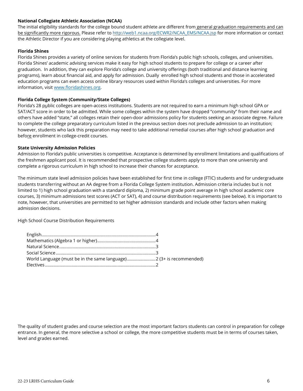#### **National Collegiate Athletic Association (NCAA)**

The initial eligibility standards for the college bound student athlete are different from general graduation requirements and can be significantly more rigorous. Please refer to [http://web1.ncaa.org/ECWR2/NCAA\\_EMS/NCAA.jsp](http://web1.ncaa.org/ECWR2/NCAA_EMS/NCAA.jsp) for more information or contact the Athletic Director if you are considering playing athletics at the collegiate level.

#### **Florida Shines**

Florida Shines provides a variety of online services for students from Florida's public high schools, colleges, and universities. Florida Shines' academic advising services make it easy for high school students to prepare for college or a career after graduation. In addition, they can explore Florida's college and university offerings (both traditional and distance learning programs), learn about financial aid, and apply for admission. Dually enrolled high school students and those in accelerated education programs can even access online library resources used within Florida's colleges and universities. For more information, visit [www.floridashines.org.](https://manateecountyschools-my.sharepoint.com/personal/jordant_manateeschools_net/Documents/www.floridashines.org)

#### **Florida College System (Community/State Colleges)**

Florida's 28 public colleges are open-access institutions. Students are not required to earn a minimum high school GPA or SAT/ACT score in order to be admitted. While some colleges within the system have dropped "community" from their name and others have added "state," all colleges retain their open-door admissions policy for students seeking an associate degree. Failure to complete the college preparatory curriculum listed in the previous section does not preclude admission to an institution; however, students who lack this preparation may need to take additional remedial courses after high school graduation and before enrollment in college-credit courses.

#### **State University Admission Policies**

Admission to Florida's public universities is competitive. Acceptance is determined by enrollment limitations and qualifications of the freshmen applicant pool. It is recommended that prospective college students apply to more than one university and complete a rigorous curriculum in high school to increase their chances for acceptance.

The minimum state level admission policies have been established for first time in college (FTIC) students and for undergraduate students transferring without an AA degree from a Florida College System institution. Admission criteria includes but is not limited to 1) high school graduation with a standard diploma, 2) minimum grade point average in high school academic core courses, 3) minimum admissions test scores (ACT or SAT), 4) and course distribution requirements (see below). It is important to note, however, that universities are permitted to set higher admission standards and include other factors when making admission decisions.

High School Course Distribution Requirements

| World Language (must be in the same language)2 (3+ is recommended) |  |
|--------------------------------------------------------------------|--|
|                                                                    |  |

The quality of student grades and course selection are the most important factors students can control in preparation for college entrance. In general, the more selective a school or college, the more competitive students must be in terms of courses taken, level and grades earned.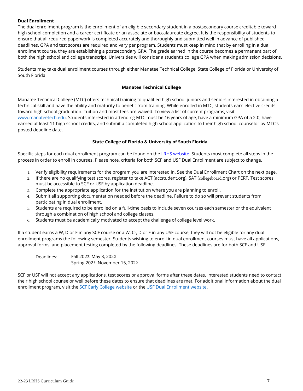#### **Dual Enrollment**

The dual enrollment program is the enrollment of an eligible secondary student in a postsecondary course creditable toward high school completion and a career certificate or an associate or baccalaureate degree. It is the responsibility of students to ensure that all required paperwork is completed accurately and thoroughly and submitted well in advance of published deadlines. GPA and test scores are required and vary per program. Students must keep in mind that by enrolling in a dual enrollment course, they are establishing a postsecondary GPA. The grade earned in the course becomes a permanent part of both the high school and college transcript. Universities will consider a student's college GPA when making admission decisions.

Students may take dual enrollment courses through either Manatee Technical College, State College of Florida or University of South Florida.

#### **Manatee Technical College**

Manatee Technical College (MTC) offers technical training to qualified high school juniors and seniors interested in obtaining a technical skill and have the ability and maturity to benefit from training. While enrolled in MTC, students earn elective credits toward high school graduation. Tuition and most fees are waived. To view a list of current programs, visit [www.manateetech.edu.](http://www.manateetech.edu/) Students interested in attending MTC must be 16 years of age, have a minimum GPA of a 2.0, have earned at least 11 high school credits, and submit a completed high school application to their high school counselor by MTC's posted deadline date.

#### **State College of Florida & University of South Florida**

Specific steps for each dual enrollment program can be found on the [LRHS website.](https://www.manateeschools.net/Page/9130) Students must complete all steps in the process in order to enroll in courses. Please note, criteria for both SCF and USF Dual Enrollment are subject to change.

- 1. Verify eligibility requirements for the program you are interested in. See the Dual Enrollment Chart on the next page.
- 2. If there are no qualifying test scores, register to take ACT (actstudent.org), SAT (collegeboard.org) or PERT. Test scores must be accessible to SCF or USF by application deadline.
- 3. Complete the appropriate application for the institution where you are planning to enroll.
- 4. Submit all supporting documentation needed before the deadline. Failure to do so will prevent students from participating in dual enrollment.
- 5. Students are required to be enrolled on a full-time basis to include seven courses each semester or the equivalent through a combination of high school and college classes.
- 6. Students must be academically motivated to accept the challenge of college level work.

If a student earns a W, D or F in any SCF course or a W, C-, D or F in any USF course, they will not be eligible for any dual enrollment programs the following semester. Students wishing to enroll in dual enrollment courses must have all applications, approval forms, and placement testing completed by the following deadlines. These deadlines are for both SCF and USF.

Deadlines: Fall 2022: May 3, 2022 Spring 2023: November 15, 2022

SCF or USF will not accept any applications, test scores or approval forms after these dates. Interested students need to contact their high school counselor well before these dates to ensure that deadlines are met. For additional information about the dual enrollment program, visit the [SCF Early College website](https://www.scf.edu/StudentServices/Registrar/EarlyCollege/default.asp) or th[e USF Dual Enrollment website.](https://www.usf.edu/admissions/freshmen/admission-information/dual-enrollment/index.aspx)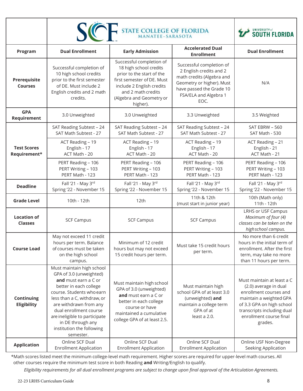|                                      | <b>STATE COLLEGE OF FLORIDA</b><br><b>SICH</b><br><b>MANATEE-SARASOTA</b>                                                                                                                                                                                                                                              |                                                                                                                                                                                                          |                                                                                                                                                                            | UNIVERSITY of <b>SOUTH FLORIDA</b>                                                                                                                                                                        |
|--------------------------------------|------------------------------------------------------------------------------------------------------------------------------------------------------------------------------------------------------------------------------------------------------------------------------------------------------------------------|----------------------------------------------------------------------------------------------------------------------------------------------------------------------------------------------------------|----------------------------------------------------------------------------------------------------------------------------------------------------------------------------|-----------------------------------------------------------------------------------------------------------------------------------------------------------------------------------------------------------|
| Program                              | <b>Dual Enrollment</b>                                                                                                                                                                                                                                                                                                 | <b>Early Admission</b>                                                                                                                                                                                   | <b>Accelerated Dual</b><br><b>Enrollment</b>                                                                                                                               | <b>Dual Enrollment</b>                                                                                                                                                                                    |
| Prerequisite<br><b>Courses</b>       | Successful completion of<br>10 high school credits<br>prior to the first semester<br>of DE. Must include 2<br>English credits and 2 math<br>credits.                                                                                                                                                                   | Successful completion of<br>18 high school credits<br>prior to the start of the<br>first semester of DE. Must<br>include 2 English credits<br>and 2 math credits<br>(Algebra and Geometry or<br>higher). | Successful completion of<br>2 English credits and 2<br>math credits (Algebra and<br>Geometry or higher). Must<br>have passed the Grade 10<br>FSA/ELA and Algebra 1<br>EOC. | N/A                                                                                                                                                                                                       |
| <b>GPA</b><br>Requirement            | 3.0 Unweighted                                                                                                                                                                                                                                                                                                         | 3.0 Unweighted                                                                                                                                                                                           | 3.3 Unweighted                                                                                                                                                             | 3.5 Weighted                                                                                                                                                                                              |
|                                      | SAT Reading Subtest - 24<br>SAT Math Subtest - 27                                                                                                                                                                                                                                                                      | SAT Reading Subtest - 24<br>SAT Math Subtest - 27                                                                                                                                                        | SAT Reading Subtest - 24<br>SAT Math Subtest - 27                                                                                                                          | SAT EBRW - 560<br>SAT Math - 530                                                                                                                                                                          |
| <b>Test Scores</b><br>Requirement*   | ACT Reading - 19<br>English - 17<br>ACT Math - 20                                                                                                                                                                                                                                                                      | ACT Reading - 19<br>English - 17<br>ACT Math - 20                                                                                                                                                        | ACT Reading - 19<br>English - 17<br>ACT Math - 20                                                                                                                          | ACT Reading - 21<br>English - 21<br>ACT Math - 21                                                                                                                                                         |
|                                      | PERT Reading - 106<br>PERT Writing - 103<br>PERT Math - 123                                                                                                                                                                                                                                                            | PERT Reading - 106<br>PERT Writing - 103<br>PERT Math - 123                                                                                                                                              | PERT Reading - 106<br>PERT Writing - 103<br>PERT Math - 123                                                                                                                | PERT Reading - 106<br>PERT Writing - 103<br>PERT Math - 123                                                                                                                                               |
| <b>Deadline</b>                      | Fall '21 - May 3rd<br>Spring '22 - November 15                                                                                                                                                                                                                                                                         | Fall '21 - May 3rd<br>Spring '22 - November 15                                                                                                                                                           | Fall '21 - May 3rd<br>Spring '22 - November 15                                                                                                                             | Fall '21 - May 3rd<br>Spring '22 - November 15                                                                                                                                                            |
| <b>Grade Level</b>                   | 10th - 12th                                                                                                                                                                                                                                                                                                            | 12th                                                                                                                                                                                                     | 11th & 12th<br>(must start in junior year)                                                                                                                                 | 10th (Math only)<br>11th - 12th                                                                                                                                                                           |
| <b>Location of</b><br><b>Classes</b> | <b>SCF Campus</b>                                                                                                                                                                                                                                                                                                      | <b>SCF Campus</b>                                                                                                                                                                                        | <b>SCF Campus</b>                                                                                                                                                          | <b>LRHS or USF Campus</b><br>Maximum of four (4)<br>classes can be taken on the<br>high school campus.                                                                                                    |
| <b>Course Load</b>                   | May not exceed 11 credit<br>hours per term. Balance<br>of courses must be taken<br>on the high school<br>campus.                                                                                                                                                                                                       | Minimum of 12 credit<br>hours but may not exceed<br>15 credit hours per term.                                                                                                                            | Must take 15 credit hours<br>per term.                                                                                                                                     | No more than 6 credit<br>hours in the initial term of<br>enrollment. After the first<br>term, may take no more<br>than 11 hours per term.                                                                 |
| Continuing<br><b>Eligibility</b>     | Must maintain high school<br>GPA of 3.0 (unweighted)<br>and must earn a C or<br>better in each college<br>course. Students who earn<br>less than a C, withdraw, or<br>are withdrawn from any<br>dual enrollment course<br>are ineligible to participate<br>in DE through any<br>institution the following<br>semester. | Must maintain high school<br>GPA of 3.0 (unweighted)<br>and must earn a C or<br>better in each college<br>course or have<br>maintained a cumulative<br>college GPA of at least 2.5.                      | Must maintain high<br>school GPA of at least 3.0<br>(unweighted) and<br>maintain a college term<br>GPA of at<br>least a 2.0.                                               | Must maintain at least a C<br>(2.0) average in dual<br>enrollment courses and<br>maintain a weighted GPA<br>of 3.3 GPA on high school<br>transcripts including dual<br>enrollment course final<br>grades. |
| <b>Application</b>                   | Online SCF Dual<br><b>Enrollment Application</b>                                                                                                                                                                                                                                                                       | Online SCF Dual<br><b>Enrollment Application</b>                                                                                                                                                         | Online SCF Dual<br><b>Enrollment Application</b>                                                                                                                           | Online USF Non-Degree<br>Seeking Application                                                                                                                                                              |

\*Math scores listed meet the minimum college-level math requirement. Higher scores are required for upper-level math courses. All other courses require the minimum test score in both Reading **and** Writing/English to qualify.

*Eligibility requirements for all dual enrollment programs are subject to change upon final approval of the Articulation Agreements.*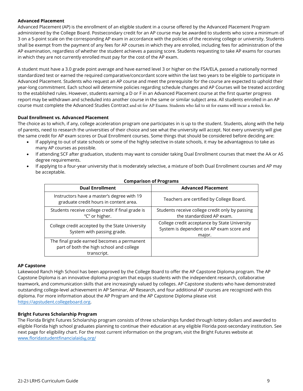#### **Advanced Placement**

Advanced Placement (AP) is the enrollment of an eligible student in a course offered by the Advanced Placement Program administered by the College Board. Postsecondary credit for an AP course may be awarded to students who score a minimum of 3 on a 5-point scale on the corresponding AP exam in accordance with the policies of the receiving college or university. Students shall be exempt from the payment of any fees for AP courses in which they are enrolled, including fees for administration of the AP examination, regardless of whether the student achieves a passing score. Students requesting to take AP exams for courses in which they are not currently enrolled must pay for the cost of the AP exam.

A student must have a 3.0 grade point average and have earned level 3 or higher on the FSA/ELA, passed a nationally normed standardized test or earned the required comparative/concordant score within the last two years to be eligible to participate in Advanced Placement. Students who request an AP course and meet the prerequisite for the course are expected to uphold their year-long commitment. Each school will determine policies regarding schedule changes and AP Courses will be treated according to the established rules. However, students earning a D or F in an Advanced Placement course at the first quarter progress report may be withdrawn and scheduled into another course in the same or similar subject area. All students enrolled in an AP course must complete the Advanced Studies Contract and sit for AP Exams. Students who fail to sit for exams will incur a restock fee.

#### **Dual Enrollment vs. Advanced Placement**

The choice as to which, if any, college acceleration program one participates in is up to the student. Students, along with the help of parents, need to research the universities of their choice and see what the university will accept. Not every university will give the same credit for AP exam scores or Dual Enrollment courses. Some things that should be considered before deciding are:

- If applying to out of state schools or some of the highly selective in-state schools, it may be advantageous to take as many AP courses as possible.
- If attending SCF after graduation, students may want to consider taking Dual Enrollment courses that meet the AA or AS degree requirements.
- If applying to a four-year university that is moderately selective, a mixture of both Dual Enrollment courses and AP may be acceptable.

| CONTRANSON OF LIVERANS                                                                                |                                                                                                     |  |  |
|-------------------------------------------------------------------------------------------------------|-----------------------------------------------------------------------------------------------------|--|--|
| <b>Dual Enrollment</b>                                                                                | <b>Advanced Placement</b>                                                                           |  |  |
| Instructors have a master's degree with 19<br>graduate credit hours in content area.                  | Teachers are certified by College Board.                                                            |  |  |
| Students receive college credit if final grade is<br>"C" or higher.                                   | Students receive college credit only by passing<br>the standardized AP exam.                        |  |  |
| College credit accepted by the State University<br>System with passing grade.                         | College credit acceptance by State University<br>System is dependent on AP exam score and<br>major. |  |  |
| The final grade earned becomes a permanent<br>part of both the high school and college<br>transcript. |                                                                                                     |  |  |

#### **Comparison of Programs**

#### **AP Capstone**

Lakewood Ranch High School has been approved by the College Board to offer the AP Capstone Diploma program. The AP Capstone Diploma is an innovative diploma program that equips students with the independent research, collaborative teamwork, and communication skills that are increasingly valued by colleges. AP Capstone students who have demonstrated outstanding college-level achievement in AP Seminar, AP Research, and four additional AP courses are recognized with this diploma. For more information about the AP Program and the AP Capstone Diploma please visit [https://apstudent.collegeboard.org.](https://apstudent.collegeboard.org/)

#### **Bright Futures Scholarship Program**

The Florida Bright Futures Scholarship program consists of three scholarships funded through lottery dollars and awarded to eligible Florida high school graduates planning to continue their education at any eligible Florida post-secondary institution. See next page for eligibility chart. For the most current information on the program, visit the Bright Futures website at [www.floridastudentfinancialaid](http://www.floridastudentfinancialaid.org/ssfad/bf/main.htm)sg.org/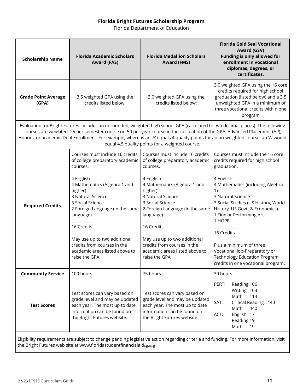## **Florida Bright Futures Scholarship Program**

Florida Department of Education

| <b>Scholarship Name</b>                                                                                                                                                                                                                                                                                                                                                                                                                               | <b>Florida Academic Scholars</b><br><b>Award (FAS)</b>                                                                                                                                                                                                                                                                                                           | <b>Florida Medallion Scholars</b><br><b>Award (FMS)</b>                                                                                                                                                                                                                                                                                                          | <b>Florida Gold Seal Vocational</b><br>Award (GSV)<br><b>Funding is only allowed for</b><br>enrollment in vocational<br>diplomas, degrees, or<br>certificates.                                                                                                                                                                                                                                                                        |
|-------------------------------------------------------------------------------------------------------------------------------------------------------------------------------------------------------------------------------------------------------------------------------------------------------------------------------------------------------------------------------------------------------------------------------------------------------|------------------------------------------------------------------------------------------------------------------------------------------------------------------------------------------------------------------------------------------------------------------------------------------------------------------------------------------------------------------|------------------------------------------------------------------------------------------------------------------------------------------------------------------------------------------------------------------------------------------------------------------------------------------------------------------------------------------------------------------|---------------------------------------------------------------------------------------------------------------------------------------------------------------------------------------------------------------------------------------------------------------------------------------------------------------------------------------------------------------------------------------------------------------------------------------|
| <b>Grade Point Average</b><br>(GPA)                                                                                                                                                                                                                                                                                                                                                                                                                   | 3.5 weighted GPA using the<br>credits listed below:                                                                                                                                                                                                                                                                                                              | 3.0 weighted GPA using the<br>credits listed below:                                                                                                                                                                                                                                                                                                              | 3.0 weighted GPA using the 16 core<br>credits required for high school<br>graduation (listed below) and a 3.5<br>unweighted GPA in a minimum of<br>three vocational credits within one<br>program                                                                                                                                                                                                                                     |
| Evaluation for Bright Futures includes an unrounded, weighted high school GPA (calculated to two decimal places). The following<br>courses are weighted .25 per semester course or .50 per year course in the calculation of the GPA: Advanced Placement (AP),<br>Honors, or academic Dual Enrollment. For example, whereas an 'A' equals 4 quality points for an un-weighted course, an 'A' would<br>equal 4.5 quality points for a weighted course. |                                                                                                                                                                                                                                                                                                                                                                  |                                                                                                                                                                                                                                                                                                                                                                  |                                                                                                                                                                                                                                                                                                                                                                                                                                       |
| <b>Required Credits</b>                                                                                                                                                                                                                                                                                                                                                                                                                               | Courses must include 16 credits<br>of college preparatory academic<br>courses.<br>4 English<br>4 Mathematics (Algebra 1 and<br>higher)<br>3 Natural Science<br>3 Social Science<br>2 Foreign Language (in the same<br>language)<br>16 Credits<br>May use up to two additional<br>credits from courses in the<br>academic areas listed above to<br>raise the GPA. | Courses must include 16 credits<br>of college preparatory academic<br>courses.<br>4 English<br>4 Mathematics (Algebra 1 and<br>higher)<br>3 Natural Science<br>3 Social Science<br>2 Foreign Language (in the same<br>language)<br>16 Credits<br>May use up to two additional<br>credits from courses in the<br>academic areas listed above to<br>raise the GPA. | Courses must include the 16 core<br>credits required for high school<br>graduation.<br>4 English<br>4 Mathematics (including Algebra<br>1)<br>3 Natural Science<br>3 Social Studies (US History, World<br>History, US Govt. & Economics)<br>1 Fine or Performing Art<br>1 HOPE<br>16 Credits<br>Plus a minimum of three<br>Vocational Job-Preparatory or<br><b>Technology Education Program</b><br>credits in one vocational program. |
| <b>Community Service</b>                                                                                                                                                                                                                                                                                                                                                                                                                              | 100 hours                                                                                                                                                                                                                                                                                                                                                        | 75 hours                                                                                                                                                                                                                                                                                                                                                         | 30 hours                                                                                                                                                                                                                                                                                                                                                                                                                              |
| <b>Test Scores</b>                                                                                                                                                                                                                                                                                                                                                                                                                                    | Test scores can vary based on<br>grade level and may be updated<br>each year. The most up to date<br>information can be found on<br>the Bright Futures website.                                                                                                                                                                                                  | Test scores can vary based on<br>grade level and may be updated<br>each year. The most up to date<br>information can be found on<br>the Bright Futures website.                                                                                                                                                                                                  | PERT:<br>Reading 106<br>Writing 103<br>Math<br>114<br>SAT:<br>Critical Reading 440<br>Math<br>440<br>English 17<br>ACT:<br>Reading 19<br>Math<br>19                                                                                                                                                                                                                                                                                   |
|                                                                                                                                                                                                                                                                                                                                                                                                                                                       | the Bright Futures web site at www.floridastudentfinancialaidsg.org                                                                                                                                                                                                                                                                                              |                                                                                                                                                                                                                                                                                                                                                                  | Eligibility requirements are subject to change pending legislative action regarding criteria and funding. For more information, visit                                                                                                                                                                                                                                                                                                 |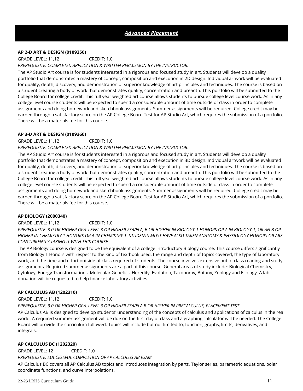#### **AP 2-D ART & DESIGN (0109350)**

GRADE LEVEL: 11,12 CREDIT: 1.0

#### *PREREQUISITE: COMPLETED APPLICATION & WRITTEN PERMISSION BY THE INSTRUCTOR.*

The AP Studio Art course is for students interested in a rigorous and focused study in art. Students will develop a quality portfolio that demonstrates a mastery of concept, composition and execution in 2D design. Individual artwork will be evaluated for quality, depth, discovery, and demonstration of superior knowledge of art principles and techniques. The course is based on a student creating a body of work that demonstrates quality, concentration and breadth. This portfolio will be submitted to the College Board for college credit. This full year weighted art course allows students to pursue college level course work. As in any college level course students will be expected to spend a considerable amount of time outside of class in order to complete assignments and doing homework and sketchbook assignments. Summer assignments will be required. College credit may be earned through a satisfactory score on the AP College Board Test for AP Studio Art, which requires the submission of a portfolio. There will be a materials fee for this course.

#### **AP 3-D ART & DESIGN (0109360)**

GRADE LEVEL: 11,12 CREDIT: 1.0

#### *PREREQUISITE: COMPLETED APPLICATION & WRITTEN PERMISSION BY THE INSTRUCTOR.*

The AP Studio Art course is for students interested in a rigorous and focused study in art. Students will develop a quality portfolio that demonstrates a mastery of concept, composition and execution in 3D design. Individual artwork will be evaluated for quality, depth, discovery, and demonstration of superior knowledge of art principles and techniques. The course is based on a student creating a body of work that demonstrates quality, concentration and breadth. This portfolio will be submitted to the College Board for college credit. This full year weighted art course allows students to pursue college level course work. As in any college level course students will be expected to spend a considerable amount of time outside of class in order to complete assignments and doing homework and sketchbook assignments. Summer assignments will be required. College credit may be earned through a satisfactory score on the AP College Board Test for AP Studio Art, which requires the submission of a portfolio. There will be a materials fee for this course.

#### **AP BIOLOGY (2000340)**

#### GRADE LEVEL: 11,12 CREDIT: 1.0

*PREREQUISITE: 3.0 OR HIGHER GPA, LEVEL 3 OR HIGHER FSA/ELA, B OR HIGHER IN BIOLOGY 1 HONORS OR A IN BIOLOGY 1, OR AN B OR HIGHER IN CHEMISTRY 1 HONORS OR A IN CHEMISTRY 1. STUDENTS MUST HAVE ALSO TAKEN ANATOMY & PHYSIOLOGY HONORS OR ARE CONCURRENTLY TAKING IT WITH THIS COURSE.* 

The AP Biology course is designed to be the equivalent of a college introductory Biology course. This course differs significantly from Biology 1 Honors with respect to the kind of textbook used, the range and depth of topics covered, the type of laboratory work, and the time and effort outside of class required of students. The course involves extensive out of class reading and study assignments. Required summer assignments are a part of this course. General areas of study include: Biological Chemistry, Cytology, Energy Transformations, Molecular Genetics, Heredity, Evolution, Taxonomy, Botany, Zoology and Ecology. A lab donation will be requested to help finance laboratory activities.

#### **AP CALCULUS AB (1202310)**

GRADE LEVEL: 11,12 CREDIT: 1.0 *PREREQUISITE: 3.0 OR HIGHER GPA, LEVEL 3 OR HIGHER FSA/ELA B OR HIGHER IN PRECALCULUS, PLACEMENT TEST*

AP Calculus AB is designed to develop students' understanding of the concepts of calculus and applications of calculus in the real world. A required summer assignment will be due on the first day of class and a graphing calculator will be needed. The College Board will provide the curriculum followed. Topics will include but not limited to, function, graphs, limits, derivatives, and integrals.

#### **AP CALCULUS BC (1202320)**

GRADE LEVEL: 12 CREDIT: 1.0 *PREREQUISITE: SUCCESSFUL COMPLETION OF AP CALCULUS AB EXAM* AP Calculus BC covers all AP Calculus AB topics and introduces [integration by parts,](https://en.wikipedia.org/wiki/Integration_by_parts) [Taylor series,](https://en.wikipedia.org/wiki/Taylor_series) [parametric equations,](https://en.wikipedia.org/wiki/Parametric_equation) [polar](https://en.wikipedia.org/wiki/Polar_coordinate)  [coordinate](https://en.wikipedia.org/wiki/Polar_coordinate) functions, and curve interpolations.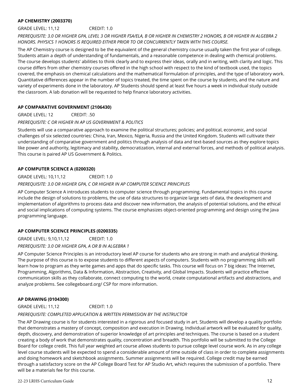#### **AP CHEMISTRY (2003370)**

GRADE LEVEL: 11,12 CREDIT: 1.0

*PREREQUISITE: 3.0 OR HIGHER GPA, LEVEL 3 OR HIGHER FSA/ELA, B OR HIGHER IN CHEMISTRY 2 HONORS, B OR HIGHER IN ALGEBRA 2 HONORS. PHYSICS 1 HONORS IS REQUIRED EITHER PRIOR TO OR CONCURRENTLY TAKEN WITH THIS COURSE.*

The AP Chemistry course is designed to be the equivalent of the general chemistry course usually taken the first year of college. Students attain a depth of understanding of fundamentals, and a reasonable competence in dealing with chemical problems. The course develops students' abilities to think clearly and to express their ideas, orally and in writing, with clarity and logic. This course differs from other chemistry courses offered in the high school with respect to the kind of textbook used, the topics covered, the emphasis on chemical calculations and the mathematical formulation of principles, and the type of laboratory work. Quantitative differences appear in the number of topics treated, the time spent on the course by students, and the nature and variety of experiments done in the laboratory. AP Students should spend at least five hours a week in individual study outside the classroom. A lab donation will be requested to help finance laboratory activities.

#### **AP COMPARATIVE GOVERNMENT (2106430)**

GRADE LEVEL: 12 CREDIT: .50

#### *PREREQUISITE: C OR HIGHER IN AP US GOVERNMENT & POLITICS*

Students will use a comparative approach to examine the political structures; policies; and political, economic, and social challenges of six selected countries: China, Iran, Mexico, Nigeria, Russia and the United Kingdom. Students will cultivate their understanding of comparative government and politics through analysis of data and text-based sources as they explore topics like power and authority, legitimacy and stability, democratization, internal and external forces, and methods of political analysis. This course is paired AP US Government & Politics.

#### **AP COMPUTER SCIENCE A (0200320)**

GRADE LEVEL: 10,11,12 CREDIT: 1.0

#### *PREREQUISITE: 3.0 OR HIGHER GPA, C OR HIGHER IN AP COMPUTER SCIENCE PRINCIPLES*

AP Computer Science A introduces students to computer science through programming. Fundamental topics in this course include the design of solutions to problems, the use of data structures to organize large sets of data, the development and implementation of algorithms to process data and discover new information, the analysis of potential solutions, and the ethical and social implications of computing systems. The course emphasizes object-oriented programming and design using the Java programming language.

#### **AP COMPUTER SCIENCE PRINCIPLES (0200335)**

GRADE LEVEL: 9,10,11,12 CREDIT: 1.0

*PREREQUISITE: 3.0 OR HIGHER GPA, A OR B IN ALGEBRA 1*

AP Computer Science Principles is an introductory level AP course for students who are strong in math and analytical thinking. The purpose of this course is to expose students to different aspects of computers. Students with no programming skills will learn how to program as they write games and apps that do specific tasks. This course will focus on 7 big ideas: The Internet, Programming, Algorithms, Data & Information, Abstraction, Creativity, and Global Impacts. Students will practice effective communication skills as they collaborate, connect computing to the world, create computational artifacts and abstractions, and analyze problems. See collegeboard.org/ CSP for more information.

#### **AP DRAWING (0104300)**

GRADE LEVEL: 11,12 CREDIT: 1.0

#### *PREREQUISITE: COMPLETED APPLICATION & WRITTEN PERMISSION BY THE INSTRUCTOR*

The AP Drawing course is for students interested in a rigorous and focused study in art. Students will develop a quality portfolio that demonstrates a mastery of concept, composition and execution in Drawing. Individual artwork will be evaluated for quality, depth, discovery, and demonstration of superior knowledge of art principles and techniques. The course is based on a student creating a body of work that demonstrates quality, concentration and breadth. This portfolio will be submitted to the College Board for college credit. This full year weighted art course allows students to pursue college level course work. As in any college level course students will be expected to spend a considerable amount of time outside of class in order to complete assignments and doing homework and sketchbook assignments. Summer assignments will be required. College credit may be earned through a satisfactory score on the AP College Board Test for AP Studio Art, which requires the submission of a portfolio. There will be a materials fee for this course.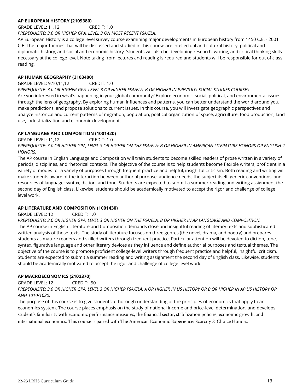#### **AP EUROPEAN HISTORY (2109380)**

GRADE LEVEL: 11,12 CREDIT: 1.0 *PREREQUISITE: 3.0 OR HIGHER GPA, LEVEL 3 ON MOST RECENT FSA/ELA.* 

AP European History is a college level survey course examining major developments in European history from 1450 C.E. - 2001 C.E. The major themes that will be discussed and studied in this course are intellectual and cultural history; political and diplomatic history; and social and economic history. Students will also be developing research, writing, and critical thinking skills necessary at the college level. Note taking from lectures and reading is required and students will be responsible for out of class reading.

#### **AP HUMAN GEOGRAPHY (2103400)**

GRADE LEVEL: 9,10,11,12 CREDIT: 1.0

*PREREQUISITE: 3.0 OR HIGHER GPA, LEVEL 3 OR HIGHER FSA/ELA, B OR HIGHER IN PREVIOUS SOCIAL STUDIES COURSES*  Are you interested in what's happening in your global community? Explore economic, social, political, and environmental issues through the lens of geography. By exploring human influences and patterns, you can better understand the world around you, make predictions, and propose solutions to current issues. In this course, you will investigate geographic perspectives and analyze historical and current patterns of migration, population, political organization of space, agriculture, food production, land use, industrialization and economic development.

#### **AP LANGUAGE AND COMPOSITION (1001420)**

GRADE LEVEL: 11,12 CREDIT: 1.0 PREREOUISITE: 3.0 OR HIGHER GPA, LEVEL 3 OR HIGHER ON THE FSA/ELA; B OR HIGHER IN AMERICAN LITERATURE HONORS OR ENGLISH 2

*HONORS.* 

The AP course in English Language and Composition will train students to become skilled readers of prose written in a variety of periods, disciplines, and rhetorical contexts. The objective of the course is to help students become flexible writers, proficient in a variety of modes for a variety of purposes through frequent practice and helpful, insightful criticism. Both reading and writing will make students aware of the interaction between authorial purpose, audience needs, the subject itself, generic conventions, and resources of language: syntax, diction, and tone. Students are expected to submit a summer reading and writing assignment the second day of English class. Likewise, students should be academically motivated to accept the rigor and challenge of college level work.

#### **AP LITERATURE AND COMPOSITION (1001430)**

GRADE LEVEL: 12 CREDIT: 1.0

PREREQUISITE: 3.0 OR HIGHER GPA, LEVEL 3 OR HIGHER ON THE FSA/ELA, B OR HIGHER IN AP LANGUAGE AND COMPOSITION. The AP course in English Literature and Composition demands close and insightful reading of literary texts and sophisticated written analysis of those texts. The study of literature focuses on three genres (the novel, drama, and poetry) and prepares students as mature readers and skilled writers through frequent practice. Particular attention will be devoted to diction, tone, syntax, figurative language and other literary devices as they influence and define authorial purposes and textual themes. The objective of the course is to promote proficient college-level writers through frequent practice and helpful, insightful criticism. Students are expected to submit a summer reading and writing assignment the second day of English class. Likewise, students should be academically motivated to accept the rigor and challenge of college level work.

#### **AP MACROECONOMICS (2102370)**

GRADE LEVEL: 12 CREDIT: .50

*PREREQUISITE: 3.0 OR HIGHER GPA, LEVEL 3 OR HIGHER FSA/ELA, A OR HIGHER IN US HISTORY OR B OR HIGHER IN AP US HISTORY OR AMH 1010/1020.* 

The purpose of this course is to give students a thorough understanding of the principles of economics that apply to an economics system. The course places emphasis on the study of national income and price-level determination, and develops student's familiarity with economic performance measures, the financial sector, stabilization policies, economic growth, and international economics. This course is paired with The American Economic Experience: Scarcity & Choice Honors.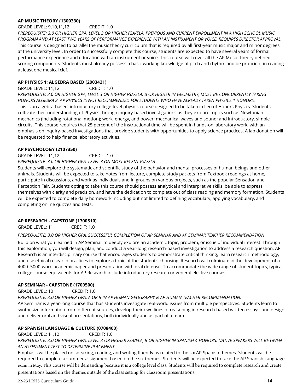#### **AP MUSIC THEORY (1300330)**

GRADE LEVEL: 9,10,11,12 CREDIT: 1.0 PREREQUISITE: 3.0 OR HIGHER GPA, LEVEL 3 OR HIGHER FSA/ELA, PREVIOUS AND CURRENT ENROLLMENT IN A HIGH SCHOOL MUSIC *PROGRAM AND AT LEAST TWO YEARS OF PERFORMANCE EXPERIENCE WITH AN INSTRUMENT OR VOICE. REQUIRES DIRECTOR APPROVAL.*  This course is designed to parallel the music theory curriculum that is required by all first-year music major and minor degrees at the university level. In order to successfully complete this course, students are expected to have several years of formal performance experience and education with an instrument or voice. This course will cover all the AP Music Theory defined scoring components. Students must already possess a basic working knowledge of pitch and rhythm and be proficient in reading at least one musical clef.

#### **AP PHYSICS 1: ALGEBRA BASED (2003421)**

#### GRADE LEVEL: 11,12 CREDIT: 1.0

PREREOUISITE: 3.0 OR HIGHER GPA, LEVEL 3 OR HIGHER FSA/ELA, B OR HIGHER IN GEOMETRY, MUST BE CONCURRENTLY TAKING *HONORS ALGEBRA 2. AP PHYSICS IS NOT RECOMMENDED FOR STUDENTS WHO HAVE ALREADY TAKEN PHYSICS 1 HONORS.*  This is an algebra-based, introductory college-level physics course designed to be taken in lieu of Honors Physics. Students cultivate their understanding of Physics through inquiry-based investigations as they explore topics such as Newtonian mechanics (including rotational motion); work, energy, and power; mechanical waves and sound; and introductory, simple circuits. This course requires that 25 percent of the instructional time will be spent in hands-on laboratory work, with an emphasis on inquiry-based investigations that provide students with opportunities to apply science practices. A lab donation will be requested to help finance laboratory activities.

#### **AP PSYCHOLOGY (2107350)**

GRADE LEVEL: 11,12 CREDIT: 1.0 *PREREQUISITE: 3.0 OR HIGHER GPA, LEVEL 3 ON MOST RECENT FSA/ELA.* 

Students will explore the systematic and scientific study of the behavior and mental processes of human beings and other animals. Students will be expected to take notes from lecture, complete study packets from Textbook readings at home, participate in discussions, and work as individuals and in groups on various projects, such as the popular Sensation and Perception Fair. Students opting to take this course should possess analytical and interpretive skills, be able to express themselves with clarity and precision, and have the dedication to complete out of class reading and memory formation. Students will be expected to complete daily homework including but not limited to defining vocabulary, applying vocabulary, and completing online quizzes and tests.

#### **AP RESEARCH - CAPSTONE (1700510)**

GRADE LEVEL: 11 CREDIT: 1.0

#### *PREREQUISITE: 3.0 OR HIGHER GPA, SUCCESSFUL COMPLETION OF AP SEMINAR AND AP SEMINAR TEACHER RECOMMENDATION*

Build on what you learned in AP Seminar to deeply explore an academic topic, problem, or issue of individual interest. Through this exploration, you will design, plan, and conduct a year-long research-based investigation to address a research question. AP Research is an interdisciplinary course that encourages students to demonstrate critical thinking, learn research methodology, and use ethical research practices to explore a topic of the student's choosing. Research will culminate in the development of a 4000–5000-word academic paper and presentation with oral defense. To accommodate the wide range of student topics, typical college course equivalents for AP Research include introductory research or general elective courses.

#### **AP SEMINAR - CAPSTONE (1700500)**

#### GRADE LEVEL: 10 CREDIT: 1.0

*PREREQUISITE: 3.0 OR HIGHER GPA, A OR B IN AP HUMAN GEOGRAPHY & AP HUMAN TEACHER RECOMMENDATION.* AP Seminar is a year-long course that has students investigate real-world issues from multiple perspectives. Students learn to synthesize information from different sources, develop their own lines of reasoning in research-based written essays, and design and deliver oral and visual presentations, both individually and as part of a team.

#### **AP SPANISH LANGUAGE & CULTURE (0708400)**

GRADE LEVEL: 11,12 CREDIT: 1.0 PREREOUISITE: 3.0 OR HIGHER GPA, LEVEL 3 OR HIGHER FSA/ELA, B OR HIGHER IN SPANISH 4 HONORS, NATIVE SPEAKERS WILL BE GIVEN *AN ASSESSMENT TEST TO DETERMINE PLACEMENT.*

Emphasis will be placed on speaking, reading, and writing fluently as related to the six AP Spanish themes. Students will be required to complete a summer assignment based on the six themes. Students will be expected to take the AP Spanish Language exam in May. This course will be demanding because it is a college level class. Students will be required to complete research and create presentations based on the themes outside of the class setting for classroom presentations.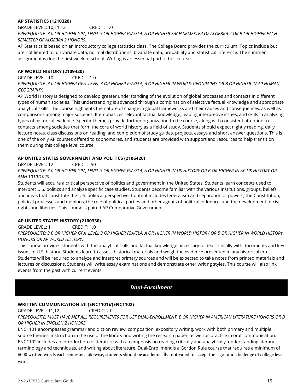#### **AP STATISTICS (1210320)**

GRADE LEVEL: 10,11,12 CREDIT: 1.0 PREREQUISITE: 3.0 OR HIGHER GPA, LEVEL 3 OR HIGHER FSA/ELA, A OR HIGHER EACH SEMESTER OF ALGEBRA 2 OR B OR HIGHER EACH *SEMESTER OF ALGEBRA 2 HONORS.* 

AP Statistics is based on an introductory college statistics class. The College Board provides the curriculum. Topics include but are not limited to, univariate data, normal distributions, bivariate data, probability and statistical inference. The summer assignment is due the first week of school. Writing is an essential part of this course.

#### **AP WORLD HISTORY (2109420)**

GRADE LEVEL: 10 CREDIT: 1.0

PREREQUISITE: 3.0 OR HIGHER GPA, LEVEL 3 OR HIGHER FSA/ELA, A OR HIGHER IN WORLD GEOGRAPHY OR B OR HIGHER IN AP HUMAN *GEOGRAPHY.* 

AP World History is designed to develop greater understanding of the evolution of global processes and contacts in different types of human societies. This understanding is advanced through a combination of selective factual knowledge and appropriate analytical skills. The course highlights the nature of change in global frameworks and their causes and consequences, as well as comparisons among major societies. It emphasizes relevant factual knowledge, leading interpretive issues, and skills in analyzing types of historical evidence. Specific themes provide further organization to the course, along with consistent attention to contacts among societies that form the core of world history as a field of study. Students should expect nightly reading, daily lecture notes, class discussions on reading, and completion of study guides, projects, essays and short answer questions. This is one of the only AP courses offered to sophomores, and students are provided with support and resources to help transition them during this college level course.

#### **AP UNITED STATES GOVERNMENT AND POLITICS (2106420)**

GRADE LEVEL: 12 CREDIT: .50

*PREREQUISITE: 3.0 OR HIGHER GPA, LEVEL 3 OR HIGHER FSA/ELA, A OR HIGHER IN US HISTORY OR B OR HIGHER IN AP US HISTORY OR AMH 1010/1020.* 

Students will acquire a critical perspective of politics and government in the United States. Students learn concepts used to interpret U.S. politics and analyze specific case studies. Students become familiar with the various institutions, groups, beliefs and ideas that constitute the U.S. political perspective. Content includes federalism and separation of powers, the Constitution, political processes and opinions, the role of political parties and other agents of political influence, and the development of civil rights and liberties. This course is paired AP Comparative Government.

#### **AP UNITED STATES HISTORY (2100330)**

GRADE LEVEL: 11 CREDIT: 1.0 PREREOUISITE: 3.0 OR HIGHER GPA, LEVEL 3 OR HIGHER FSA/ELA, A OR HIGHER IN WORLD HISTORY OR B OR HIGHER IN WORLD HISTORY

#### *HONORS OR AP WORLD HISTORY.*

This course provides students with the analytical skills and factual knowledge necessary to deal critically with documents and key issues in U.S. history. Students learn to assess historical materials and weigh the evidence presented in any historical era. Students will be required to analyze and interpret primary sources and will be expected to take notes from printed materials and lectures or discussions. Students will write essay examinations and demonstrate other writing styles. This course will also link events from the past with current events.

## *Dual-Enrollment*

#### **WRITTEN COMMUNICATION I/II (ENC1101)/(ENC1102)**

GRADE LEVEL: 11,12 CREDIT: 2.0

*PREREQUISITE: MUST HAVE MET ALL REQUIREMENTS FOR USF DUAL-ENROLLMENT. B OR HIGHER IN AMERICAN LITERATURE HONORS OR B OR HIGHER IN ENGLISH 2 HONORS.*

ENC1101 encompasses grammar and diction review, composition, expository writing, work with both primary and multiple source themes, instruction in the use of the library and writing the research paper, as well as practice in oral communication. ENC1102 includes an introduction to literature with an emphasis on reading critically and analytically, understanding literary terminology and techniques, and writing about literature. Dual-Enrollment is a Gordon Rule course that requires a minimum of 6000 written words each semester. Likewise, students should be academically motivated to accept the rigor and challenge of college level work.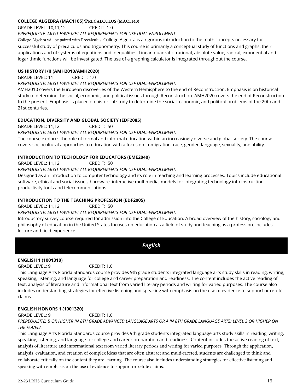#### **COLLEGE ALGEBRA (MAC1105)/PRECALCULUS (MAC1140)**

GRADE LEVEL: 10,11,12 CREDIT: 1.0

*PREREQUISITE: MUST HAVE MET ALL REQUIREMENTS FOR USF DUAL-ENROLLMENT.* 

College Algebra will be paired with Precalculus. College Algebra is a rigorous introduction to the math concepts necessary for successful study of precalculus and trigonometry. This course is primarily a conceptual study of functions and graphs, their applications and of systems of equations and inequalities. Linear, quadratic, rational, absolute value, radical, exponential and logarithmic functions will be investigated. The use of a graphing calculator is integrated throughout the course.

#### **US HISTORY I/II (AMH2010/AMH2020)**

GRADE LEVEL: 11 CREDIT: 1.0

#### *PREREQUISITE: MUST HAVE MET ALL REQUIREMENTS FOR USF DUAL-ENROLLMENT.*

AMH2010 covers the European discoveries of the Western Hemisphere to the end of Reconstruction. Emphasis is on historical study to determine the social, economic, and political issues through Reconstruction. AMH2020 covers the end of Reconstruction to the present. Emphasis is placed on historical study to determine the social, economic, and political problems of the 20th and 21st centuries.

#### **EDUCATION, DIVERSITY AND GLOBAL SOCIETY (EDF2085)**

GRADE LEVEL: 11,12 CREDIT: .50 *PREREQUISITE: MUST HAVE MET ALL REQUIREMENTS FOR USF DUAL-ENROLLMENT.*  The course explores the role of formal and informal education within an increasingly diverse and global society. The course covers sociocultural approaches to education with a focus on immigration, race, gender, language, sexuality, and ability.

#### **INTRODUCTION TO TECHOLOGY FOR EDUCATORS (EME2040)**

GRADE LEVEL: 11,12 CREDIT: .50

#### *PREREQUISITE: MUST HAVE MET ALL REQUIREMENTS FOR USF DUAL-ENROLLMENT.*

Designed as an introduction to computer technology and its role in teaching and learning processes. Topics include educational software, ethical and social issues, hardware, interactive multimedia, models for integrating technology into instruction, productivity tools and telecommunications.

#### **INTRODUCTION TO THE TEACHING PROFESSION (EDF2005)**

GRADE LEVEL: 11,12 CREDIT: .50

#### *PREREQUISITE: MUST HAVE MET ALL REQUIREMENTS FOR USF DUAL-ENROLLMENT.*

Introductory survey course required for admission into the College of Education. A broad overview of the history, sociology and philosophy of education in the United States focuses on education as a field of study and teaching as a profession. Includes lecture and field experience.

*English*

#### **ENGLISH 1 (1001310)**

GRADE LEVEL: 9 CREDIT: 1.0

This Language Arts Florida Standards course provides 9th grade students integrated language arts study skills in reading, writing, speaking, listening, and language for college and career preparation and readiness. The content includes the active reading of text, analysis of literature and informational text from varied literary periods and writing for varied purposes. The course also includes understanding strategies for effective listening and speaking with emphasis on the use of evidence to support or refute claims.

#### **ENGLISH HONORS 1 (1001320)**

GRADE LEVEL: 9 CREDIT: 1.0

PREREQUISITE: B OR HIGHER IN 8TH GRADE ADVANCED LANGUAGE ARTS OR A IN 8TH GRADE LANGUAGE ARTS; LEVEL 3 OR HIGHER ON *THE FSA/ELA.* 

This Language Arts Florida Standards course provides 9th grade students integrated language arts study skills in reading, writing, speaking, listening, and language for college and career preparation and readiness. Content includes the active reading of text, analysis of literature and informational text from varied literary periods and writing for varied purposes. Through the application, analysis, evaluation, and creation of complex ideas that are often abstract and multi-faceted, students are challenged to think and collaborate critically on the content they are learning. The course also includes understanding strategies for effective listening and speaking with emphasis on the use of evidence to support or refute claims.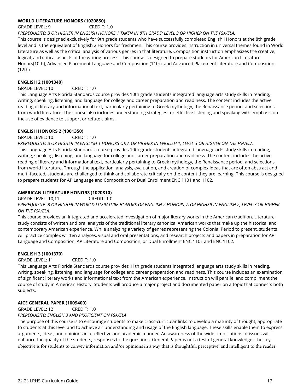#### **WORLD LITERATURE HONORS (1020850)**

GRADE LEVEL: 9 CREDIT: 1.0

*PREREQUISITE: B OR HIGHER IN ENGLISH HONORS 1 TAKEN IN 8TH GRADE; LEVEL 3 OR HIGHER ON THE FSA/ELA.*  This course is designed exclusively for 9th grade students who have successfully completed English I Honors at the 8th grade level and is the equivalent of English 2 Honors for freshmen. This course provides instruction in universal themes found in World Literature as well as the critical analysis of various genres in that literature. Composition instruction emphasizes the creative, logical, and critical aspects of the writing process. This course is designed to prepare students for American Literature Honors(10th), Advanced Placement Language and Composition (11th), and Advanced Placement Literature and Composition (12th).

#### **ENGLISH 2 (1001340)**

#### GRADE LEVEL: 10 CREDIT: 1.0

This Language Arts Florida Standards course provides 10th grade students integrated language arts study skills in reading, writing, speaking, listening, and language for college and career preparation and readiness. The content includes the active reading of literary and informational text, particularly pertaining to Greek mythology, the Renaissance period, and selections from world literature. The course also includes understanding strategies for effective listening and speaking with emphasis on the use of evidence to support or refute claims.

#### **ENGLISH HONORS 2 (1001350)**

#### GRADE LEVEL: 10 CREDIT: 1.0

*PREREQUISITE: B OR HIGHER IN ENGLISH 1 HONORS OR A OR HIGHER IN ENGLISH 1; LEVEL 3 OR HIGHER ON THE FSA/ELA.*  This Language Arts Florida Standards course provides 10th grade students integrated language arts study skills in reading, writing, speaking, listening, and language for college and career preparation and readiness. The content includes the active reading of literary and informational text, particularly pertaining to Greek mythology, the Renaissance period, and selections from world literature. Through the application, analysis, evaluation, and creation of complex ideas that are often abstract and multi-faceted, students are challenged to think and collaborate critically on the content they are learning. This course is designed to prepare students for AP Language and Composition or Dual Enrollment ENC 1101 and 1102.

#### **AMERICAN LITERATURE HONORS (1020810)**

GRADE LEVEL: 10,11 CREDIT: 1.0

*PREREQUISITE: B OR HIGHER IN WORLD LITERATURE HONORS OR ENGLISH 2 HONORS; A OR HIGHER IN ENGLISH 2; LEVEL 3 OR HIGHER ON THE FSA/ELA.* 

This course provides an integrated and accelerated investigation of major literary works in the American tradition. Literature study consists of written and oral analysis of the traditional literary canonical American works that make up the historical and contemporary American experience. While analyzing a variety of genres representing the Colonial Period to present, students will practice complex written analyses, visual and oral presentations, and research projects and papers in preparation for AP Language and Composition, AP Literature and Composition, or Dual Enrollment ENC 1101 and ENC 1102.

#### **ENGLISH 3 (1001370)**

GRADE LEVEL: 11 CREDIT: 1.0

This Language Arts Florida Standards course provides 11th grade students integrated language arts study skills in reading, writing, speaking, listening, and language for college and career preparation and readiness. This course includes an examination of significant literary works and informational text from the American experience. Instruction will parallel and compliment the course of study in American History. Students will produce a major project and documented paper on a topic that connects both subjects.

#### **AICE GENERAL PAPER (1009400)**

GRADE LEVEL: 12 CREDIT: 1.0

*PREREQUISITE: ENGLISH 3 AND PROFICIENT ON FSA/ELA*

The purpose of this course is to encourage students to make cross-curricular links to develop a maturity of thought, appropriate to students at this level and to achieve an understanding and usage of the English language. These skills enable them to express arguments, ideas, and opinions in a reflective and academic manner. An awareness of the wider implications of issues will enhance the quality of the students; responses to the questions. General Paper is not a test of general knowledge. The key objective is for students to convey information and/or opinions in a way that is thoughtful, perceptive, and intelligent to the reader.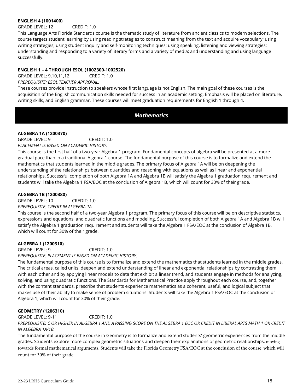#### **ENGLISH 4 (1001400)**

GRADE LEVEL: 12 CREDIT: 1.0

This Language Arts Florida Standards course is the thematic study of literature from ancient classics to modern selections. The course targets student learning by using reading strategies to construct meaning from the text and acquire vocabulary; using writing strategies; using student inquiry and self-monitoring techniques; using speaking, listening and viewing strategies; understanding and responding to a variety of literary forms and a variety of media; and understanding and using language successfully.

#### **ENGLISH 1 – 4 THROUGH ESOL (1002300-1002520)**

GRADE LEVEL: 9,10,11,12 CREDIT: 1.0 *PREREQUISITE: ESOL TEACHER APPROVAL.* 

These courses provide instruction to speakers whose first language is not English. The main goal of these courses is the acquisition of the English communication skills needed for success in an academic setting. Emphasis will be placed on literature, writing skills, and English grammar. These courses will meet graduation requirements for English 1 through 4.

## *Mathematics*

#### **ALGEBRA 1A (1200370)**

GRADE LEVEL: 9 CREDIT: 1.0 *PLACEMENT IS BASED ON ACADEMIC HISTORY.*

This course is the first half of a two-year Algebra 1 program. Fundamental concepts of algebra will be presented at a more gradual pace than in a traditional Algebra 1 course. The fundamental purpose of this course is to formalize and extend the mathematics that students learned in the middle grades. The primary focus of Algebra 1A will be on deepening the understanding of the relationships between quantities and reasoning with equations as well as linear and exponential relationships. Successful completion of both Algebra 1A and Algebra 1B will satisfy the Algebra 1 graduation requirement and students will take the Algebra 1 FSA/EOC at the conclusion of Algebra 1B, which will count for 30% of their grade.

#### **ALGEBRA 1B (1200380)**

GRADE LEVEL: 10 CREDIT: 1.0 *PREREQUISITE: CREDIT IN ALGEBRA 1A.* 

This course is the second half of a two-year Algebra 1 program. The primary focus of this course will be on descriptive statistics, expressions and equations, and quadratic functions and modeling. Successful completion of both Algebra 1A and Algebra 1B will satisfy the Algebra 1 graduation requirement and students will take the Algebra 1 FSA/EOC at the conclusion of Algebra 1B, which will count for 30% of their grade.

#### **ALGEBRA 1 (1200310)**

GRADE LEVEL: 9 CREDIT: 1.0

*PREREQUISITE: PLACEMENT IS BASED ON ACADEMIC HISTORY.* 

The fundamental purpose of this course is to formalize and extend the mathematics that students learned in the middle grades. The critical areas, called units, deepen and extend understanding of linear and exponential relationships by contrasting them with each other and by applying linear models to data that exhibit a linear trend, and students engage in methods for analyzing, solving, and using quadratic functions. The Standards for Mathematical Practice apply throughout each course, and, together with the content standards, prescribe that students experience mathematics as a coherent, useful, and logical subject that makes use of their ability to make sense of problem situations. Students will take the Algebra 1 FSA/EOC at the conclusion of Algebra 1, which will count for 30% of their grade.

#### **GEOMETRY (1206310)**

GRADE LEVEL: 9-11 CREDIT: 1.0

*PREREQUISITE: C OR HIGHER IN ALGEBRA 1 AND A PASSING SCORE ON THE ALGEBRA 1 EOC OR CREDIT IN LIBERAL ARTS MATH 1 OR CREDIT IN ALGEBRA 1A/1B.*

The fundamental purpose of the course in Geometry is to formalize and extend students' geometric experiences from the middle grades. Students explore more complex geometric situations and deepen their explanations of geometric relationships, moving towards formal mathematical arguments. Students will take the Florida Geometry FSA/EOC at the conclusion of the course, which will count for 30% of their grade.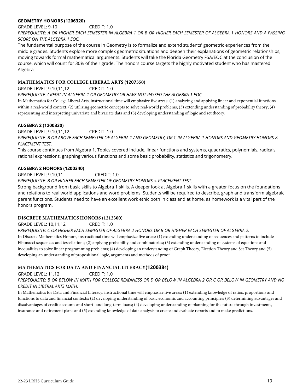#### **GEOMETRY HONORS (1206320)**

GRADE LEVEL: 9-10 CREDIT: 1.0

*PREREQUISITE: A OR HIGHER EACH SEMESTER IN ALGEBRA 1 OR B OR HIGHER EACH SEMESTER OF ALGEBRA 1 HONORS AND A PASSING SCORE ON THE ALGEBRA 1 EOC.* 

The fundamental purpose of the course in Geometry is to formalize and extend students' geometric experiences from the middle grades. Students explore more complex geometric situations and deepen their explanations of geometric relationships, moving towards formal mathematical arguments. Students will take the Florida Geometry FSA/EOC at the conclusion of the course, which will count for 30% of their grade. The honors course targets the highly motivated student who has mastered Algebra.

#### **MATHEMATICS FOR COLLEGE LIBERAL ARTS (1207350)**

GRADE LEVEL: 9,10,11,12 CREDIT: 1.0

*PREREQUISITE: CREDIT IN ALGEBRA 1 OR GEOMETRY OR HAVE NOT PASSED THE ALGEBRA 1 EOC.* 

In Mathematics for College Liberal Arts, instructional time will emphasize five areas: (1) analyzing and applying linear and exponential functions within a real-world context; (2) utilizing geometric concepts to solve real-world problems; (3) extending understanding of probability theory; (4) representing and interpreting univariate and bivariate data and (5) developing understanding of logic and set theory.

#### **ALGEBRA 2 (1200330)**

GRADE LEVEL: 9,10,11,12 CREDIT: 1.0

*PREREQUISITE: B OR ABOVE EACH SEMESTER OF ALGEBRA 1 AND GEOMETRY, OR C IN ALGEBRA 1 HONORS AND GEOMETRY HONORS & PLACEMENT TEST.* 

This course continues from Algebra 1. Topics covered include, linear functions and systems, quadratics, polynomials, radicals, rational expressions, graphing various functions and some basic probability, statistics and trigonometry.

#### **ALGEBRA 2 HONORS (1200340)**

GRADE LEVEL: 9,10,11 CREDIT: 1.0

*PREREQUISITE: B OR HIGHER EACH SEMESTER OF GEOMETRY HONORS & PLACEMENT TEST.* 

Strong background from basic skills to Algebra 1 skills. A deeper look at Algebra 1 skills with a greater focus on the foundations and relations to real world applications and word problems. Students will be required to describe, graph and transform algebraic parent functions. Students need to have an excellent work ethic both in class and at home, as homework is a vital part of the honors program.

#### **DISCRETE MATHEMATICS HONORS (1212300)**

GRADE LEVEL: 10,11,12 CREDIT: 1.0

*PREREQUISITE: C OR HIGHER EACH SEMESTER OF ALGEBRA 2 HONORS OR B OR HIGHER EACH SEMESTER OF ALGEBRA 2.* 

In Discrete Mathematics Honors, instructional time will emphasize five areas: (1) extending understanding of sequences and patterns to include Fibonacci sequences and tessellations; (2) applying probability and combinatorics; (3) extending understanding of systems of equations and inequalities to solve linear programming problems; (4) developing an understanding of Graph Theory, Election Theory and Set Theory and (5) developing an understanding of propositional logic, arguments and methods of proof.

#### **MATHEMATICS FOR DATA AND FINANCIAL LITERACY(1200384)**

GRADE LEVEL: 11,12 CREDIT: 1.0

*PREREQUISITE: B OR BELOW IN MATH FOR COLLEGE READINESS OR D OR BELOW IN ALGEBRA 2 OR C OR BELOW IN GEOMETRY AND NO CREDIT IN LIBERAL ARTS MATH.* 

In Mathematics for Data and Financial Literacy, instructional time will emphasize five areas: (1) extending knowledge of ratios, proportions and functions to data and financial contexts; (2) developing understanding of basic economic and accounting principles; (3) determining advantages and disadvantages of credit accounts and short- and long-term loans; (4) developing understanding of planning for the future through investments, insurance and retirement plans and (5) extending knowledge of data analysis to create and evaluate reports and to make predictions.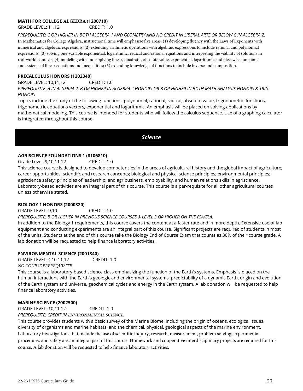#### **MATH FOR COLLEGE ALGEBRA (1200710)**

GRADE LEVEL: 11,12 CREDIT: 1.0

*PREREQUISITE: C OR HIGHER IN BOTH ALGEBRA 1 AND GEOMETRY AND NO CREDIT IN LIBERAL ARTS OR BELOW C IN ALGEBRA 2.*  In Mathematics for College Algebra, instructional time will emphasize five areas: (1) developing fluency with the Laws of Exponents with numerical and algebraic expressions; (2) extending arithmetic operations with algebraic expressions to include rational and polynomial expressions; (3) solving one-variable exponential, logarithmic, radical and rational equations and interpreting the viability of solutions in real-world contexts; (4) modeling with and applying linear, quadratic, absolute value, exponential, logarithmic and piecewise functions and systems of linear equations and inequalities; (5) extending knowledge of functions to include inverse and composition.

#### **PRECALCULUS HONORS (1202340)**

GRADE LEVEL: 10,11,12 CREDIT: 1.0 *PREREQUISITE: A IN ALGEBRA 2, B OR HIGHER IN ALGEBRA 2 HONORS OR B OR HIGHER IN BOTH MATH ANALYSIS HONORS & TRIG HONORS* 

Topics include the study of the following functions: polynomial, rational, radical, absolute value, trigonometric functions, trigonometric equations vectors, exponential and logarithmic. An emphasis will be placed on solving applications by mathematical modeling. This course is intended for students who will follow the calculus sequence. Use of a graphing calculator is integrated throughout this course.

*Science*

#### **AGRISCIENCE FOUNDATIONS 1 (8106810)**

Grade Level: 9,10,11,12 CREDIT: 1.0

This science course is designed to develop competencies in the areas of agricultural history and the global impact of agriculture; career opportunities; scientific and research concepts; biological and physical science principles; environmental principles; agriscience safety; principles of leadership; and agribusiness, employability, and human relations skills in agriscience. Laboratory-based activities are an integral part of this course. This course is a per-requisite for all other agricultural courses unless otherwise stated.

#### **BIOLOGY 1 HONORS (2000320)**

GRADE LEVEL: 9,10 CREDIT: 1.0

#### *PREREQUISITE: B OR HIGHER IN PREVIOUS SCIENCE COURSES & LEVEL 3 OR HIGHER ON THE FSA/ELA.*

In addition to the Biology 1 requirements, this course covers the content at a faster rate and in more depth. Extensive use of lab equipment and conducting experiments are an integral part of this course. Significant projects are required of students in most of the units. Students at the end of this course take the Biology End of Course Exam that counts as 30% of their course grade. A lab donation will be requested to help finance laboratory activities.

#### **ENVIRONMENTAL SCIENCE (2001340)**

GRADE LEVEL: 9,10,11,12 CREDIT: 1.0 *NO COURSE PREREQUISITE*

This course is a laboratory-based science class emphasizing the function of the Earth's systems. Emphasis is placed on the human interactions with the Earth's geologic and environmental systems, predictability of a dynamic Earth, origin and evolution of the Earth system and universe, geochemical cycles and energy in the Earth system. A lab donation will be requested to help finance laboratory activities.

#### **MARINE SCIENCE (2002500)**

GRADE LEVEL: 10,11,12 CREDIT: 1.0

*PREREQUISITE: CREDIT IN ENVIRONMENTAL SCIENCE.* 

This course provides students with a basic survey of the Marine Biome, including the origin of oceans, ecological issues, diversity of organisms and marine habitats, and the chemical, physical, geological aspects of the marine environment. Laboratory investigations that include the use of scientific inquiry, research, measurement, problem solving, experimental procedures and safety are an integral part of this course. Homework and cooperative interdisciplinary projects are required for this course. A lab donation will be requested to help finance laboratory activities.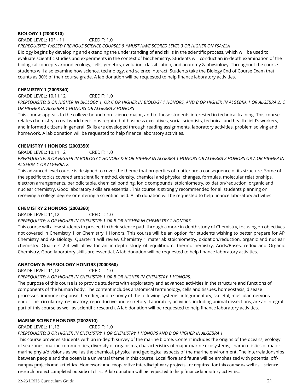#### **BIOLOGY 1 (2000310)**

GRADE LEVEL: 10\* - 11 CREDIT: 1.0

#### *PREREQUISITE: PASSED PREVIOUS SCIENCE COURSES & \*MUST HAVE SCORED LEVEL 3 OR HIGHER ON FSA/ELA*

Biology begins by developing and extending the understanding of and skills in the scientific process, which will be used to evaluate scientific studies and experiments in the context of biochemistry. Students will conduct an in-depth examination of the biological concepts around ecology, cells, genetics, evolution, classification, and anatomy & physiology. Throughout the course students will also examine how science, technology, and science interact. Students take the Biology End of Course Exam that counts as 30% of their course grade. A lab donation will be requested to help finance laboratory activities.

#### **CHEMISTRY 1 (2003340)**

GRADE LEVEL: 10,11,12 CREDIT: 1.0

*PREREQUISITE: B OR HIGHER IN BIOLOGY 1, OR C OR HIGHER IN BIOLOGY 1 HONORS, AND B OR HIGHER IN ALGEBRA 1 OR ALGEBRA 2, C OR HIGHER IN ALGEBRA 1 HONORS OR ALGEBRA 2 HONORS* 

This course appeals to the college-bound non-science major, and to those students interested in technical training. This course relates chemistry to real world decisions required of business executives, social scientists, technical and health field's workers, and informed citizens in general. Skills are developed through reading assignments, laboratory activities, problem solving and homework. A lab donation will be requested to help finance laboratory activities.

#### **CHEMISTRY 1 HONORS (2003350)**

GRADE LEVEL: 10,11,12 CREDIT: 1.0

*PREREQUISITE: B OR HIGHER IN BIOLOGY 1 HONORS & B OR HIGHER IN ALGEBRA 1 HONORS OR ALGEBRA 2 HONORS OR A OR HIGHER IN ALGEBRA 1 OR ALGEBRA 2.* 

This advanced level course is designed to cover the theme that properties of matter are a consequence of its structure. Some of the specific topics covered are scientific method, density, chemical and physical changes, formulas, molecular relationships, electron arrangements, periodic table, chemical bonding, ionic compounds, stoichiometry, oxidation/reduction, organic and nuclear chemistry. Good laboratory skills are essential. This course is strongly recommended for all students planning on receiving a college degree or entering a scientific field. A lab donation will be requested to help finance laboratory activities.

#### **CHEMISTRY 2 HONORS (2003360)**

#### GRADE LEVEL: 11,12 CREDIT: 1.0

#### *PREREQUISITE: A OR HIGHER IN CHEMISTRY 1 OR B OR HIGHER IN CHEMISTRY 1 HONORS*

This course will allow students to proceed in their science path through a more in-depth study of Chemistry, focusing on objectives not covered in Chemistry 1 or Chemistry 1 Honors. This course will be an option for students wishing to better prepare for AP Chemistry and AP Biology. Quarter 1 will review Chemistry 1 material: stoichiometry, oxidation/reduction, organic and nuclear chemistry. Quarters 2-4 will allow for an in-depth study of equilibrium, thermochemistry, Acids/Bases, redox and Organic Chemistry. Good laboratory skills are essential. A lab donation will be requested to help finance laboratory activities.

#### **ANATOMY & PHYSIOLOGY HONORS (2000360)**

GRADE LEVEL: 11,12 CREDIT: 1.0

#### *PREREQUISITE: A OR HIGHER IN CHEMISTRY 1 OR B OR HIGHER IN CHEMISTRY 1 HONORS.*

The purpose of this course is to provide students with exploratory and advanced activities in the structure and functions of components of the human body. The content includes anatomical terminology, cells and tissues, homeostasis, disease processes, immune response, heredity, and a survey of the following systems: integumentary, skeletal, muscular, nervous, endocrine, circulatory, respiratory, reproductive and excretory. Laboratory activities, including animal dissections, are an integral part of this course as well as scientific research. A lab donation will be requested to help finance laboratory activities.

#### **MARINE SCIENCE HONORS (2002510)**

GRADE LEVEL: 11,12 CREDIT: 1.0

## *PREREQUISITE: B OR HIGHER IN CHEMISTRY 1 OR CHEMISTRY 1 HONORS AND B OR HIGHER IN ALGEBRA 1.*

This course provides students with an in-depth survey of the marine biome. Content includes the origins of the oceans, ecology of sea zones, marine communities, diversity of organisms, characteristics of major marine ecosystems, characteristics of major marine phyla/divisions as well as the chemical, physical and geological aspects of the marine environment. The interrelationships between people and the ocean is a universal theme in this course. Local flora and fauna will be emphasized with potential offcampus projects and activities. Homework and cooperative interdisciplinary projects are required for this course as well as a science research project completed outside of class. A lab donation will be requested to help finance laboratory activities.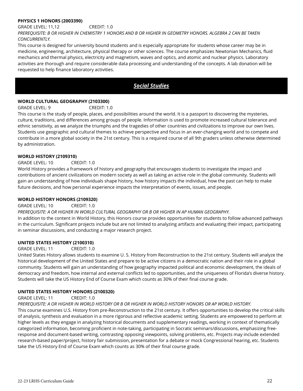#### **PHYSICS 1 HONORS (2003390)**

GRADE LEVEL: 11,12 CREDIT: 1.0

*PREREQUISITE: B OR HIGHER IN CHEMISTRY 1 HONORS AND B OR HIGHER IN GEOMETRY HONORS. ALGEBRA 2 CAN BE TAKEN CONCURRENTLY.* 

This course is designed for university bound students and is especially appropriate for students whose career may be in medicine, engineering, architecture, physical therapy or other sciences. The course emphasizes Newtonian Mechanics, fluid mechanics and thermal physics, electricity and magnetism, waves and optics, and atomic and nuclear physics. Laboratory activities are thorough and require considerable data processing and understanding of the concepts. A lab donation will be requested to help finance laboratory activities.

## *Social Studies*

#### **WORLD CULTURAL GEOGRAPHY (2103300)**

GRADE LEVEL: 9 CREDIT: 1.0

This course is the study of people, places, and possibilities around the world. It is a passport to discovering the mysteries, culture, traditions, and differences among groups of people. Information is used to promote increased cultural tolerance and ethnic sensitivity, as we analyze the triumphs and the tragedies of other countries and civilizations to improve our own lives. Students use geographic and cultural themes to achieve perspective and focus in an ever-changing world and to compete and contribute in a more global society in the 21st century. This is a required course of all 9th graders unless otherwise determined by administration.

#### **WORLD HISTORY (2109310)**

#### GRADE LEVEL: 10 CREDIT: 1.0

World History provides a framework of history and geography that encourages students to investigate the impact and contributions of ancient civilizations on modern society as well as taking an active role in the global community. Students will gain an understanding of how individuals shape history, how history impacts the individual, how the past can help to make future decisions, and how personal experience impacts the interpretation of events, issues, and people.

#### **WORLD HISTORY HONORS (2109320)**

GRADE LEVEL: 10 CREDIT: 1.0

#### *PREREQUISITE: A OR HIGHER IN WORLD CULTURAL GEOGRAPHY OR B OR HIGHER IN AP HUMAN GEOGRAPHY.*

In addition to the content in World History, this Honors course provides opportunities for students to follow advanced pathways in the curriculum. Significant projects include but are not limited to analyzing artifacts and evaluating their impact, participating in seminar discussions, and conducting a major research project.

#### **UNITED STATES HISTORY (2100310)**

GRADE LEVEL: 11 CREDIT: 1.0

United States History allows students to examine U. S. History from Reconstruction to the 21st century. Students will analyze the historical development of the United States and prepare to be active citizens in a democratic nation and their role in a global community. Students will gain an understanding of how geography impacted political and economic development, the ideals of democracy and freedom, how internal and external conflicts led to opportunities, and the uniqueness of Florida's diverse history. Students will take the US History End of Course Exam which counts as 30% of their final course grade.

#### **UNITED STATES HISTORY HONORS (2100320)**

GRADE LEVEL: 11 CREDIT: 1.0

*PREREQUISITE: A OR HIGHER IN WORLD HISTORY OR B OR HIGHER IN WORLD HISTORY HONORS OR AP WORLD HISTORY.* 

This course examines U.S. History from pre-Reconstruction to the 21st century. It offers opportunities to develop the critical skills of analysis, synthesis and evaluation in a more rigorous and reflective academic setting. Students are empowered to perform at higher levels as they engage in analyzing historical documents and supplementary readings, working in context of thematically categorized information, becoming proficient in note-taking, participating in Socratic seminars/discussions, emphasizing freeresponse and document-based writing, contrasting opposing viewpoints, solving problems, etc. Projects may include extended research-based paper/project, history fair submission, presentation for a debate or mock Congressional hearing, etc. Students take the US History End of Course Exam which counts as 30% of their final course grade.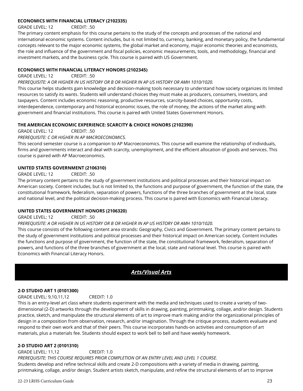#### **ECONOMICS WITH FINANCIAL LITERACY (2102335)**

GRADE LEVEL: 12 CREDIT: .50

The primary content emphasis for this course pertains to the study of the concepts and processes of the national and international economic systems. Content includes, but is not limited to, currency, banking, and monetary policy, the fundamental concepts relevant to the major economic systems, the global market and economy, major economic theories and economists, the role and influence of the government and fiscal policies, economic measurements, tools, and methodology, financial and investment markets, and the business cycle. This course is paired with US Government.

#### **ECONOMICS WITH FINANCIAL LITERACY HONORS (2102345)**

GRADE LEVEL: 12 CREDIT: .50

*PREREQUISITE: A OR HIGHER IN US HISTORY OR B OR HIGHER IN AP US HISTORY OR AMH 1010/1020.*

This course helps students gain knowledge and decision-making tools necessary to understand how society organizes its limited resources to satisfy its wants. Students will understand choices they must make as producers, consumers, investors, and taxpayers. Content includes economic reasoning, productive resources, scarcity-based choices, opportunity costs, interdependence, contemporary and historical economic issues, the role of money, the actions of the market along with government and financial institutions. This course is paired with United States Government Honors.

#### **THE AMERICAN ECONOMIC EXPERIENCE: SCARCITY & CHOICE HONORS (2102390)**

GRADE LEVEL: 12 CREDIT: .50

*PREREQUISITE: C OR HIGHER IN AP MACROECONOMICS.*

This second semester course is a companion to AP Macroeconomics. This course will examine the relationship of individuals, firms and governments interact and deal with scarcity, unemployment, and the efficient allocation of goods and services. This course is paired with AP Macroeconomics.

#### **UNITED STATES GOVERNMENT (2106310)**

GRADE LEVEL: 12 CREDIT: .50

The primary content pertains to the study of government institutions and political processes and their historical impact on American society. Content includes, but is not limited to, the functions and purpose of government, the function of the state, the constitutional framework, federalism, separation of powers, functions of the three branches of government at the local, state and national level, and the political decision-making process. This course is paired with Economics with Financial Literacy.

#### **UNITED STATES GOVERNMENT HONORS (2106320)**

GRADE LEVEL: 12 CREDIT: .50

#### *PREREQUISITE: A OR HIGHER IN US HISTORY OR B OR HIGHER IN AP US HISTORY OR AMH 1010/1020.*

This course consists of the following content area strands: Geography, Civics and Government. The primary content pertains to the study of government institutions and political processes and their historical impact on American society. Content includes the functions and purpose of government, the function of the state, the constitutional framework, federalism, separation of powers, and functions of the three branches of government at the local, state and national level. This course is paired with Economics with Financial Literacy Honors.

## *Arts/Visual Arts*

#### **2-D STUDIO ART 1 (0101300)**

GRADE LEVEL: 9,10,11,12 CREDIT: 1.0

This is an entry-level art class where students experiment with the media and techniques used to create a variety of twodimensional (2-D) artworks through the development of skills in drawing, painting, printmaking, collage, and/or design. Students practice, sketch, and manipulate the structural elements of art to improve mark making and/or the organizational principles of design in a composition from observation, research, and/or imagination. Through the critique process, students evaluate and respond to their own work and that of their peers. This course incorporates hands-on activities and consumption of art materials, plus a materials fee. Students should expect to work bell to bell and have weekly homework.

#### **2-D STUDIO ART 2 (0101310)**

GRADE LEVEL: 11,12 CREDIT: 1.0 *PREREQUISITE: THIS COURSE REQUIRES PRIOR COMPLETION OF AN ENTRY LEVEL AND LEVEL 1 COURSE.* Students develop and refine technical skills and create 2-D compositions with a variety of media in drawing, painting, printmaking, collage, and/or design. Student artists sketch, manipulate, and refine the structural elements of art to improve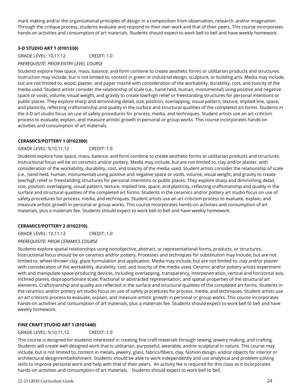mark making and/or the organizational principles of design in a composition from observation, research, and/or imagination. Through the critique process, students evaluate and respond to their own work and that of their peers. This course incorporates hands-on activities and consumption of art materials. Students should expect to work bell to bell and have weekly homework.

#### **3-D STUDIO ART 1 (0101330)**

GRADE LEVEL: 10,11,12 CREDIT: 1.0 *PREREQUISITE: PRIOR ENTRY LEVEL COURSE*

Students explore how space, mass, balance, and form combine to create aesthetic forms or utilitarian products and structures. Instruction may include, but is not limited to, content in green or industrial design, sculpture, or building arts. Media may include, but are not limited to, wood, plaster, and paper maché with consideration of the workability, durability, cost, and toxicity of the media used. Student artists consider the relationship of scale (i.e., hand-held, human, monumental) using positive and negative space or voids, volume, visual weight, and gravity to create low/high relief or freestanding structures for personal intentions or public places. They explore sharp and diminishing detail, size, position, overlapping, visual pattern, texture, implied line, space, and plasticity, reflecting craftsmanship and quality in the surface and structural qualities of the completed art forms. Students in the 3-D art studio focus on use of safety procedures for process, media, and techniques. Student artists use an art criticism process to evaluate, explain, and measure artistic growth in personal or group works. This course incorporates hands-on activities and consumption of art materials.

#### **CERAMICS/POTTERY 1 (0102300)**

#### GRADE LEVEL: 9,10,11,12 CREDIT: 1.0

Students explore how space, mass, balance, and form combine to create aesthetic forms or utilitarian products and structures. Instructional focus will be on ceramics and/or pottery. Media may include, but are not limited to, clay and/or plaster, with consideration of the workability, durability, cost, and toxicity of the media used. Student artists consider the relationship of scale (i.e., hand-held, human, monumental) using positive and negative space or voids, volume, visual weight, and gravity to create low/high relief or freestanding structures for personal intentions or public places. They explore sharp and diminishing detail, size, position, overlapping, visual pattern, texture, implied line, space, and plasticity, reflecting craftsmanship and quality in the surface and structural qualities of the completed art forms. Students in the ceramics and/or pottery art studio focus on use of safety procedures for process, media, and techniques. Student artists use an art criticism process to evaluate, explain, and measure artistic growth in personal or group works. This course incorporates hands-on activities and consumption of art materials, plus a materials fee. Students should expect to work bell to bell and have weekly homework.

#### **CERAMICS/POTTERY 2 (0102310)**

GRADE LEVEL: 10,11,12 CREDIT: 1.0

#### *PREREQUISITE: PRIOR CERAMICS COURSE*

Students explore spatial relationships using nonobjective, abstract, or representational forms, products, or structures. Instructional focus should be on ceramics and/or pottery. Processes and techniques for substitution may include, but are not limited to, wheel-thrown clay, glaze formulation and application. Media may include, but are not limited to, clay and/or plaster with consideration of the workability, durability, cost, and toxicity of the media used. Ceramic and/or pottery artists experiment with and manipulate space-producing devices, including overlapping, transparency, interpenetration, vertical and horizontal axis, inclined planes, disproportionate scale, fractional or abstracted representation, and spatial properties of the structural art elements. Craftsmanship and quality are reflected in the surface and structural qualities of the completed art forms. Students in the ceramics and/or pottery art studio focus on use of safety procedures for process, media, and techniques. Student artists use an art criticism process to evaluate, explain, and measure artistic growth in personal or group works. This course incorporates hands-on activities and consumption of art materials, plus a materials fee. Students should expect to work bell to bell and have weekly homework.

#### **FINE CRAFT STUDIO ART 1 (0101440)**

#### GRADE LEVEL: 9,10,11,12 CREDIT: 1.0

This course is designed for students interested in creating fine craft materials through sewing, jewelry making, and crafting. Students will create well-designed work that is utilitarian, purposeful, wearable, and/or sculptural in nature. This course may include, but is not limited to, content in metals, jewelry, glass, fabrics/fibers, clay, fashion design, and/or objects for interior or architectural design/embellishment. Students should be able to work independently and use analytical and problem-solving skills to improve personal work and help with that of their peers. An activity fee is required for this class as it incorporates hands-on activities and consumption of art materials. Students should expect to work bell to bell.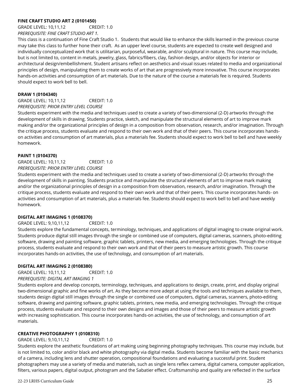#### **FINE CRAFT STUDIO ART 2 (0101450)**

GRADE LEVEL: 10,11,12 CREDIT: 1.0 *PREREQUISITE: FINE CRAFT STUDIO ART 1.*

This class is a continuation of Fine Craft Studio 1. Students that would like to enhance the skills learned in the previous course may take this class to further hone their craft. As an upper level course, students are expected to create well designed and individually conceptualized work that is utilitarian, purposeful, wearable, and/or sculptural in nature. This course may include, but is not limited to, content in metals, jewelry, glass, fabrics/fibers, clay, fashion design, and/or objects for interior or architectural design/embellishment. Student artisans reflect on aesthetics and visual issues related to media and organizational principles of design, manipulating them to create works of art that are progressively more innovative. This course incorporates hands-on activities and consumption of art materials. Due to the nature of the course a materials fee is required. Students should expect to work bell to bell.

#### **DRAW 1 (0104340)**

GRADE LEVEL: 10,11,12 CREDIT: 1.0 *PREREQUISITE: PRIOR ENTRY LEVEL COURSE*

Students experiment with the media and techniques used to create a variety of two-dimensional (2-D) artworks through the development of skills in drawing. Students practice, sketch, and manipulate the structural elements of art to improve mark making and/or the organizational principles of design in a composition from observation, research, and/or imagination. Through the critique process, students evaluate and respond to their own work and that of their peers. This course incorporates handson activities and consumption of art materials, plus a materials fee. Students should expect to work bell to bell and have weekly homework.

#### **PAINT 1 (0104370)**

GRADE LEVEL: 10,11,12 CREDIT: 1.0 *PREREQUISITE: PRIOR ENTRY LEVEL COURSE*

Students experiment with the media and techniques used to create a variety of two-dimensional (2-D) artworks through the development of skills in painting. Students practice and manipulate the structural elements of art to improve mark making and/or the organizational principles of design in a composition from observation, research, and/or imagination. Through the critique process, students evaluate and respond to their own work and that of their peers. This course incorporates hands- on activities and consumption of art materials, plus a materials fee. Students should expect to work bell to bell and have weekly homework.

#### **DIGITAL ART IMAGING 1 (0108370)**

GRADE LEVEL: 9,10,11,12 CREDIT: 1.0

Students explore the fundamental concepts, terminology, techniques, and applications of digital imaging to create original work. Students produce digital still images through the single or combined use of computers, digital cameras, scanners, photo-editing software, drawing and painting software, graphic tablets, printers, new media, and emerging technologies. Through the critique process, students evaluate and respond to their own work and that of their peers to measure artistic growth. This course incorporates hands-on activities, the use of technology, and consumption of art materials.

#### **DIGITAL ART IMAGING 2 (0108380)**

GRADE LEVEL: 10,11,12 CREDIT: 1.0

#### *PREREQUISITE: DIGITAL ART IMAGING 1*

Students explore and develop concepts, terminology, techniques, and applications to design, create, print, and display original two-dimensional graphic and fine works of art. As they become more adept at using the tools and techniques available to them, students design digital still images through the single or combined use of computers, digital cameras, scanners, photo-editing software, drawing and painting software, graphic tablets, printers, new media, and emerging technologies. Through the critique process, students evaluate and respond to their own designs and images and those of their peers to measure artistic growth with increasing sophistication. This course incorporates hands-on activities, the use of technology, and consumption of art materials.

#### **CREATIVE PHOTOGRAPHY 1 (0108310)**

GRADE LEVEL: 9,10,11,12 CREDIT: 1.0

Students explore the aesthetic foundations of art making using beginning photography techniques. This course may include, but is not limited to, color and/or black and white photography via digital media. Students become familiar with the basic mechanics of a camera, including lens and shutter operation, compositional foundations and evaluating a successful print. Student photographers may use a variety of media and materials, such as single lens reflex camera, digital camera, computer application, filters, various papers, digital output, photogram and the Sabatier effect. Craftsmanship and quality are reflected in the surface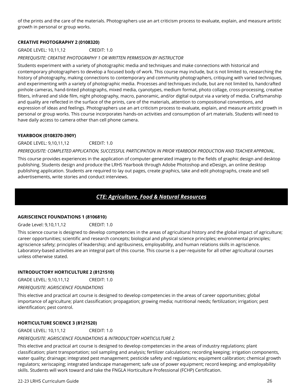of the prints and the care of the materials. Photographers use an art criticism process to evaluate, explain, and measure artistic growth in personal or group works.

#### **CREATIVE PHOTOGRAPHY 2 (0108320)**

GRADE LEVEL: 10,11,12 CREDIT: 1.0

*PREREQUISITE: CREATIVE PHOTOGRAPHY 1 OR WRITTEN PERMISSION BY INSTRUCTOR*

Students experiment with a variety of photographic media and techniques and make connections with historical and contemporary photographers to develop a focused body of work. This course may include, but is not limited to, researching the history of photography, making connections to contemporary and community photographers, critiquing with varied techniques, and experimenting with a variety of photographic media. Processes and techniques include, but are not limited to, handcrafted pinhole cameras, hand-tinted photographs, mixed media, cyanotypes, medium format, photo collage, cross-processing, creative filters, infrared and slide film, night photography, macro, panoramic, and/or digital output via a variety of media. Craftsmanship and quality are reflected in the surface of the prints, care of the materials, attention to compositional conventions, and expression of ideas and feelings. Photographers use an art criticism process to evaluate, explain, and measure artistic growth in personal or group works. This course incorporates hands-on activities and consumption of art materials. Students will need to have daily access to camera other than cell phone camera.

#### **YEARBOOK (0108370-390Y)**

GRADE LEVEL: 9,10,11,12 CREDIT: 1.0 *PREREQUISITE: COMPLETED APPLICATION, SUCCESSFUL PARTICIPATION IN PRIOR YEARBOOK PRODUCTION AND TEACHER APPROVAL.* 

This course provides experiences in the application of computer-generated imagery to the fields of graphic design and desktop publishing. Students design and produce the LRHS Yearbook through Adobe Photoshop and eDesign, an online desktop publishing application. Students are required to lay out pages, create graphics, take and edit photographs, create and sell advertisements, write stories and conduct interviews.

## *CTE: Agriculture, Food & Natural Resources*

#### **AGRISCIENCE FOUNDATIONS 1 (8106810)**

Grade Level: 9,10,11,12 CREDIT: 1.0

This science course is designed to develop competencies in the areas of agricultural history and the global impact of agriculture; career opportunities; scientific and research concepts; biological and physical science principles; environmental principles; agriscience safety; principles of leadership; and agribusiness, employability, and human relations skills in agriscience. Laboratory-based activities are an integral part of this course. This course is a per-requisite for all other agricultural courses unless otherwise stated.

#### **INTRODUCTORY HORTICULTURE 2 (8121510)**

GRADE LEVEL: 9,10,11,12 CREDIT: 1.0

*PREREQUISITE: AGRISCIENCE FOUNDATIONS*

This elective and practical art course is designed to develop competencies in the areas of career opportunities; global importance of agriculture; plant classification; propagation; growing media; nutritional needs; fertilization; irrigation; pest identification; pest control.

#### **HORTICULTURE SCIENCE 3 (8121520)**

GRADE LEVEL: 10,11,12 CREDIT: 1.0

#### *PREREQUISITE: AGRISCIENCE FOUNDATIONS & INTRODUCTORY HORTICULTURE 2.*

This elective and practical art course is designed to develop competencies in the areas of industry regulations; plant classification; plant transportation; soil sampling and analysis; fertilizer calculations; recording keeping; irrigation components, water quality; drainage; integrated pest management; pesticide safety and regulations; equipment calibration; chemical growth regulators; xeriscaping; integrated landscape management; safe use of power equipment; record keeping; and employability skills. Students will work toward and take the FNGLA Horticulture Professional (FCHP) Certification.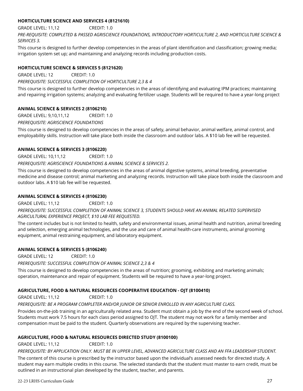#### **HORTICULTURE SCIENCE AND SERVICES 4 (8121610)**

GRADE LEVEL: 11,12 CREDIT: 1.0

*PRE-REQUISITE: COMPLETED & PASSED AGRISCIENCE FOUNDATIONS, INTRODUCTORY HORTICULTURE 2, AND HORTICULTURE SCIENCE & SERVICES 3.* 

This course is designed to further develop competencies in the areas of plant identification and classification; growing media; irrigation system set up; and maintaining and analyzing records including production costs.

#### **HORTICULTURE SCIENCE & SERVICES 5 (8121620)**

GRADE LEVEL: 12 CREDIT: 1.0

*PREREQUISITE: SUCCESSFUL COMPLETION OF HORTICULTURE 2,3 & 4*

This course is designed to further develop competencies in the areas of identifying and evaluating IPM practices; maintaining and repairing irrigation systems; analyzing and evaluating fertilizer usage. Students will be required to have a year-long project

#### **ANIMAL SCIENCE & SERVICES 2 (8106210)**

GRADE LEVEL: 9,10,11,12 CREDIT: 1.0

*PREREQUISITE: AGRISCIENCE FOUNDATIONS*

This course is designed to develop competencies in the areas of safety, animal behavior, animal welfare, animal control, and employability skills. Instruction will take place both inside the classroom and outdoor labs. A \$10 lab fee will be requested.

#### **ANIMAL SCIENCE & SERVICES 3 (8106220)**

GRADE LEVEL: 10,11,12 CREDIT: 1.0

*PREREQUISITE: AGRISCIENCE FOUNDATIONS & ANIMAL SCIENCE & SERVICES 2.* 

This course is designed to develop competencies in the areas of animal digestive systems, animal breeding, preventative medicine and disease control; animal marketing and analyzing records. Instruction will take place both inside the classroom and outdoor labs. A \$10 lab fee will be requested.

#### **ANIMAL SCIENCE & SERVICES 4 (8106230)**

GRADE LEVEL: 11,12 CREDIT: 1.0 *PREREQUISITE: SUCCESSFUL COMPLETION OF ANIMAL SCIENCE 3, STUDENTS SHOULD HAVE AN ANIMAL RELATED SUPERVISED AGRICULTURAL EXPERIENCE PROJECT, \$10 LAB FEE REQUESTED.*

The content includes but is not limited to health, safety and environmental issues, animal health and nutrition, animal breeding and selection, emerging animal technologies, and the use and care of animal health-care instruments, animal grooming equipment, animal restraining equipment, and laboratory equipment.

#### **ANIMAL SCIENCE & SERVICES 5 (8106240)**

GRADE LEVEL: 12 CREDIT: 1.0

*PREREQUISITE: SUCCESSFUL COMPLETION OF ANIMAL SCIENCE 2,3 & 4*

This course is designed to develop competencies in the areas of nutrition; grooming, exhibiting and marketing animals; operation, maintenance and repair of equipment. Students will be required to have a year-long project.

#### **AGRICULTURE, FOOD & NATURAL RESOURCES COOPERATIVE EDUCATION - OJT (8100410)**

GRADE LEVEL: 11,12 CREDIT: 1.0

*PREREQUISITE: BE A PROGRAM COMPLETER AND/OR JUNIOR OR SENIOR ENROLLED IN ANY AGRICULTURE CLASS.*

Provides on-the-job training in an agriculturally related area. Student must obtain a job by the end of the second week of school. Students must work 7.5 hours for each class period assigned to OJT. The student may not work for a family member and compensation must be paid to the student. Quarterly observations are required by the supervising teacher.

#### **AGRICULTURE, FOOD & NATURAL RESOURCES DIRECTED STUDY (8100100)**

GRADE LEVEL: 11,12 CREDIT: 1.0

*PREREQUISITE: BY APPLICATION ONLY. MUST BE IN UPPER LEVEL, ADVANCED AGRICULTURE CLASS AND AN FFA LEADERSHIP STUDENT.*

The content of this course is prescribed by the instructor based upon the individual's assessed needs for directed study. A student may earn multiple credits in this course. The selected standards that the student must master to earn credit, must be outlined in an instructional plan developed by the student, teacher, and parents.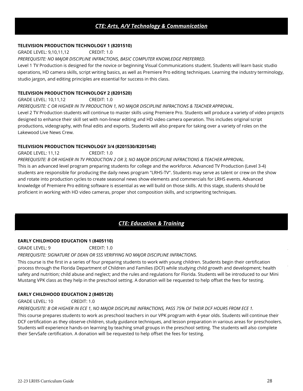## *CTE: Arts, A/V Technology & Communication*

#### **TELEVISION PRODUCTION TECHNOLOGY 1 (8201510)**

GRADE LEVEL: 9,10,11,12 CREDIT: 1.0

*PREREQUISITE: NO MAJOR DISCIPLINE INFRACTIONS, BASIC COMPUTER KNOWLEDGE PREFERRED.* 

Level 1 TV Production is designed for the novice or beginning Visual Communications student. Students will learn basic studio operations, HD camera skills, script writing basics, as well as Premiere Pro editing techniques. Learning the industry terminology, studio jargon, and editing principles are essential for success in this class.

#### **TELEVISION PRODUCTION TECHNOLOGY 2 (8201520)**

GRADE LEVEL: 10,11,12 CREDIT: 1.0

*PREREQUISITE: C OR HIGHER IN TV PRODUCTION 1, NO MAJOR DISCIPLINE INFRACTIONS & TEACHER APPROVAL.* 

Level 2 TV Production students will continue to master skills using Premiere Pro. Students will produce a variety of video projects designed to enhance their skill set with non-linear editing and HD video camera operation. This includes original script productions, videography, with final edits and exports. Students will also prepare for taking over a variety of roles on the Lakewood Live News Crew.

#### **TELEVISION PRODUCTION TECHNOLOGY 3/4 (8201530/8201540)**

GRADE LEVEL: 11,12 CREDIT: 1.0

*PREREQUISITE: B OR HIGHER IN TV PRODUCTION 2 OR 3, NO MAJOR DISCIPLINE INFRACTIONS & TEACHER APPROVAL.* This is an advanced level program preparing students for college and the workforce. Advanced TV Production (Level 3-4) students are responsible for producing the daily news program "LRHS-TV". Students may serve as talent or crew on the show and rotate into production cycles to create seasonal news show elements and commercials for LRHS events. Advanced knowledge of Premiere Pro editing software is essential as we will build on those skills. At this stage, students should be proficient in working with HD video cameras, proper shot composition skills, and scriptwriting techniques.

## *CTE: Education & Training*

#### **EARLY CHILDHOOD EDUCATION 1 (8405110)**

GRADE LEVEL: 9 CREDIT: 1.0

#### *PREREQUISITE: SIGNATURE OF DEAN OR SSS VERIFYING NO MAJOR DISCIPLINE INFRACTIONS.*

This course is the first in a series of four preparing students to work with young children. Students begin their certification process through the Florida Department of Children and Families (DCF) while studying child growth and development; health safety and nutrition; child abuse and neglect; and the rules and regulations for Florida. Students will be introduced to our Mini Mustang VPK class as they help in the preschool setting. A donation will be requested to help offset the fees for testing.

#### **EARLY CHILDHOOD EDUCATION 2 (8405120)**

GRADE LEVEL: 10 CREDIT: 1.0

#### *PREREQUISITE: B OR HIGHER IN ECE 1, NO MAJOR DISCIPLINE INFRACTIONS, PASS 75% OF THEIR DCF HOURS FROM ECE 1.*

This course prepares students to work as preschool teachers in our VPK program with 4-year olds. Students will continue their DCF certification as they observe children, study guidance techniques, and lesson preparation in various areas for preschoolers. Students will experience hands-on learning by teaching small groups in the preschool setting. The students will also complete their ServSafe certification. A donation will be requested to help offset the fees for testing.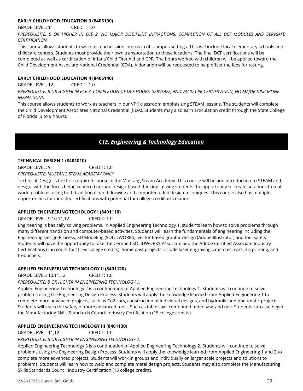#### **EARLY CHILDHOOD EDUCATION 3 (8405130)**

GRADE LEVEL: 11 CREDIT: 1.0

*PREREQUISITE: B OR HIGHER IN ECE 2, NO MAJOR DISCIPLINE INFRACTIONS, COMPLETION OF ALL DCF MODULES AND SERVSAFE CERTIFICATION.*

This course allows students to work as teacher aide interns in off-campus settings. This will include local elementary schools and childcare centers. Students must provide their own transportation to these locations. The final DCF certifications will be completed as well as certification of Infant/Child First Aid and CPR. The hours worked with children will be applied toward the Child Development Associate National Credential (CDA). A donation will be requested to help offset the fees for testing.

#### **EARLY CHILDHOOD EDUCATION 4 (8405140)**

GRADE LEVEL: 12 CREDIT: 1.0 *PREREQUISITE: B OR HIGHER IN ECE 3, COMPLETION OF DCF HOURS, SERVSAFE, AND VALID CPR CERTIFICATION, NO MAJOR DISICIPLINE INFRACTIONS.*

This course allows students to work as teachers in our VPK classroom emphasizing STEAM lessons. The students will complete the Child Development Associates National Credential (CDA). Students may also earn articulation credit through the State College of Florida (3 to 9 hours).

## *CTE: Engineering & Technology Education*

#### **TECHNICAL DESIGN 1 (8401010)**

GRADE LEVEL: 9 CREDIT: 1.0

*PREREQUISITE: MUSTANG STEAM ACADEMY ONLY*

Technical Design is the first required course in the Mustang Steam Academy. This course will be and introduction to STEAM and design, with the focus being centered around design-based thinking - giving students the opportunity to create solutions to real world problems using both traditional hand drawing and computer aided design techniques. This course also has multiple opportunities for industry certifications with potential for college credit articulation.

#### **APPLIED ENGINEERING TECHOLOGY I (8401110)**

GRADE LEVEL: 9,10,11,12 CREDIT: 1.0

Engineering is basically solving problems. In Applied Engineering Technology 1, students learn how to solve problems through many different hands on and computer-based activities. Students will learn the fundamentals of engineering including the Engineering Design Process, 3D Modeling (SOLIDWORKS), vector based graphic design (Adobe Illustrator) and tool safety. Students will have the opportunity to take the Certified SOLIDWORKS Associate and the Adobe Certified Associate Industry Certifications (can count for three college credits). Some past projects include laser engraving, crash test cars, 3D printing, and trebuchets.

#### **APPLIED ENGINEERING TECHNOLOGY II (8401120)**

GRADE LEVEL: 10,11,12 CREDIT: 1.0

*PREREQUISITE: B OR HIGHER IN ENGINEERING TECHNOLOGY 1.* 

Applied Engineering Technology 2 is a continuation of Applied Engineering Technology 1. Students will continue to solve problems using the Engineering Design Process. Students will apply the knowledge learned from Applied Engineering 1 to complete more advanced projects, such as Co2 cars, construction of individual designs, and hydraulic and pneumatic projects. Students will learn the safety of more advanced tools. Such as table saw, compound miter saw, and mill. Students can also begin the Manufacturing Skills Standards Council Industry Certification (15 college credits).

#### **APPLIED ENGINEERING TECHNOLOGY III (8401130)**

GRADE LEVEL: 11,12 CREDIT: 1.0

*PREREQUISITE: B OR HIGHER IN ENGINEERING TECHNOLOGY 2.* 

Applied Engineering Technology 3 is a continuation of Applied Engineering Technology 2. Students will continue to solve problems using the Engineering Design Process. Students will apply the knowledge learned from Applied Engineering 1 and 2 to complete more advanced projects. Students will work in groups and individually on larger scale projects and solutions to problems. Students will learn how to weld and complete metal design projects. Students may also complete the Manufacturing Skills Standards Council Industry Certification (15 college credits).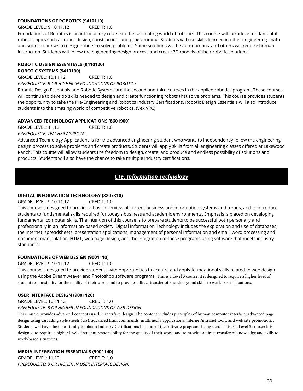#### **FOUNDATIONS OF ROBOTICS (9410110)**

#### GRADE LEVEL: 9,10,11,12 CREDIT: 1.0

Foundations of Robotics is an introductory course to the fascinating world of robotics. This course will introduce fundamental robotic topics such as robot design, construction, and programming. Students will use skills learned in other engineering, math and science courses to design robots to solve problems. Some solutions will be autonomous, and others will require human interaction. Students will follow the engineering design process and create 3D models of their robotic solutions.

#### **ROBOTIC DESIGN ESSENTIALS (9410120) ROBOTIC SYSTEMS (9410130)**

GRADE LEVEL: 10,11,12 CREDIT: 1.0 *PREREQUISITE: B OR HIGHER IN FOUNDATIONS OF ROBOTICS.* 

Robotic Design Essentials and Robotic Systems are the second and third courses in the applied robotics program. These courses will continue to develop skills needed to design and create functioning robots that solve problems. This course provides students the opportunity to take the Pre-Engineering and Robotics Industry Certifications. Robotic Design Essentials will also introduce students into the amazing world of competitive robotics. (Vex VRC)

#### **ADVANCED TECHNOLOGY APPLICATIONS (8601900)**

GRADE LEVEL: 11,12 CREDIT: 1.0 *PREREQUISITE: TEACHER APPROVAL*

Advanced Technology Applications is for the advanced engineering student who wants to independently follow the engineering design process to solve problems and create products. Students will apply skills from all engineering classes offered at Lakewood Ranch. This course will allow students the freedom to design, create, and produce and endless possibility of solutions and products. Students will also have the chance to take multiple industry certifications.

## *CTE: Information Technology*

#### **DIGITAL INFORMATION TECHNOLOGY (8207310)**

GRADE LEVEL: 9,10,11,12 CREDIT: 1.0

This course is designed to provide a basic overview of current business and information systems and trends, and to introduce students to fundamental skills required for today's business and academic environments. Emphasis is placed on developing fundamental computer skills. The intention of this course is to prepare students to be successful both personally and professionally in an information-based society. Digital Information Technology includes the exploration and use of databases, the internet, spreadsheets, presentation applications, management of personal information and email, word processing and document manipulation, HTML, web page design, and the integration of these programs using software that meets industry standards.

#### **FOUNDATIONS OF WEB DESIGN (9001110)**

GRADE LEVEL: 9,10,11,12 CREDIT: 1.0

This course is designed to provide students with opportunities to acquire and apply foundational skills related to web design using the Adobe Dreamweaver and Photoshop software programs. This is a Level 3 course: it is designed to require a higher level of student responsibility for the quality of their work, and to provide a direct transfer of knowledge and skills to work-based situations.

#### **USER INTERFACE DESIGN (9001120)**

GRADE LEVEL: 10,11,12 CREDIT: 1.0

#### *PREREQUISITE: B OR HIGHER IN FOUNDATIONS OF WEB DESIGN.*

This course provides advanced concepts used in interface design. The content includes principles of human computer interface, advanced page design using cascading style sheets (css), advanced html commands, multimedia applications, internet/intranet tools, and web site promotion. . Students will have the opportunity to obtain Industry Certifications in some of the software programs being used. This is a Level 3 course: it is designed to require a higher level of student responsibility for the quality of their work, and to provide a direct transfer of knowledge and skills to work-based situations.

#### **MEDIA INTEGRATION ESSENTIALS (9001140)**

GRADE LEVEL: 11,12 CREDIT: 1.0 *PREREQUISITE: B OR HIGHER IN USER INTERFACE DESIGN.*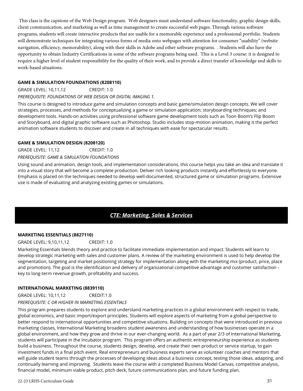This class is the capstone of the Web Design program. Web designers must understand software functionality, graphic design skills, client communication, and marketing as well as time management to create successful web pages. Through various software programs, students will create interactive products that are usable for a memorable experience and a professional portfolio. Students will demonstrate techniques for integrating various forms of media onto webpages with attention for consumer "usability" (website navigation, efficiency, memorability), along with their skills in Adobe and other software programs. . Students will also have the opportunity to obtain Industry Certifications in some of the software programs being used. This is a Level 3 course: it is designed to require a higher level of student responsibility for the quality of their work, and to provide a direct transfer of knowledge and skills to work-based situations.

#### **GAME & SIMULATION FOUNDATIONS (8208110)**

GRADE LEVEL: 10,11,12 CREDIT: 1.0

*PREREQUISITE: FOUNDATIONS OF WEB DESIGN OR DIGITAL IMAGING 1.* 

This course is designed to introduce game and simulation concepts and basic game/simulation design concepts. We will cover strategies, processes, and methods for conceptualizing a game or simulation application; storyboarding techniques; and development tools. Hands-on activities using professional software game development tools such as Toon Boom's Flip Boom and Storyboard, and digital graphic software such as Photoshop. Studio includes stop-motion animation, making it the perfect animation software students to discover and create in all techniques with ease for spectacular results.

#### **GAME & SIMULATION DESIGN (8208120)**

GRADE LEVEL: 11,12 CREDIT: 1.0 *PREREQUISITE: GAME & SIMULATION FOUNDATIONS* 

Using sound and animation, design tools, and implementation considerations, this course helps you take an idea and translate it into a visual story that will become a complete production. Deliver rich looking products instantly and effortlessly to everyone. Emphasis is placed on the techniques needed to develop well-documented, structured game or simulation programs. Extensive use is made of evaluating and analyzing existing games or simulations.

## *CTE: Marketing, Sales & Services*

#### **MARKETING ESSENTIALS (8827110)**

GRADE LEVEL: 9,10,11,12 CREDIT: 1.0

Marketing Essentials blends theory and practice to facilitate immediate implementation and impact. Students will learn to develop strategic marketing with sales and customer plans. A review of the marketing environment is used to help develop the segmentation, targeting and market positioning strategy for implementation along with the marketing mix (product, price, place and promotion). The goal is the identification and delivery of organizational competitive advantage and customer satisfaction key to long-term revenue growth, profitability and success.

#### **INTERNATIONAL MARKETING (8839110)**

GRADE LEVEL: 10,11,12 CREDIT:1.0

*PREREQUISITE: C OR HIGHER IN MARKETING ESSENTIALS*

This program prepares students to explore and understand marketing practices in a global environment with respect to trade, global economics, and basic import/export principles. Students will explore aspects of marketing from a global perspective to better respond to international opportunities and competitive situations. Building on concepts that were introduced in previous marketing classes, International Marketing broadens student awareness and understanding of how businesses operate in a global environment, and how they grow and thrive in our ever-changing world. As a part of year 2/3 of International Marketing, students will participate in the Incubator program. This program offers an authentic entrepreneurship experience as students build a business. Throughout the course, students design, develop, and create their own product or service startup, to gain investment funds in a final pitch event. Real entrepreneurs and business experts serve as volunteer coaches and mentors that will guide student teams through the processes of developing ideas about a business concept, testing those ideas, adapting, and continually learning and improving. Students leave the course with a completed Business Model Canvas, competitive analysis, financial model, minimum viable product, pitch deck, future communications plan, and future funding plan.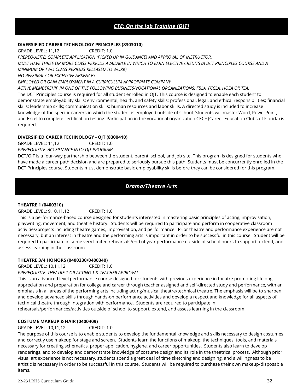## *CTE: On the Job Training (OJT)*

#### **DIVERSIFIED CAREER TECHNOLOGY PRINCIPLES (8303010)**

GRADE LEVEL: 11,12 CREDIT: 1.0

*PREREQUISITE: COMPLETE APPLICATION (PICKED UP IN GUIDANCE) AND APPROVAL OF INSTRUCTOR.*

*MUST HAVE THREE OR MORE CLASS PERIODS AVAILABLE IN WHICH TO EARN ELECTIVE CREDITS (A DCT PRINCIPLES COURSE AND A* 

*MINIMUM OF TWO CLASS PERIODS RELEASED TO WORK)* 

*NO REFERRALS OR EXCESSIVE ABSENCES*

*EMPLOYED OR GAIN EMPLOYMENT IN A CURRICULUM APPROPRIATE COMPANY*

*ACTIVE MEMBERSHIP IN ONE OF THE FOLLOWING BUSINESS/VOCATIONAL ORGANIZATIONS: FBLA, FCCLA, HOSA OR TSA.* The DCT Principles course is required for all student enrolled in OJT. This course is designed to enable each student to demonstrate employability skills; environmental, health, and safety skills; professional, legal, and ethical responsibilities; financial skills; leadership skills; communication skills; human resources and labor skills. A directed study is included to increase knowledge of the specific careers in which the student is employed outside of school. Students will master Word, PowerPoint, and Excel to complete certification testing. Participation in the vocational organization CECF (Career Education Clubs of Florida) is required.

#### **DIVERSIFIED CAREER TECHNOLOGY - OJT (8300410)**

GRADE LEVEL: 11,12 CREDIT: 1.0

*PREREQUISITE: ACCEPTANCE INTO OJT PROGRAM* 

DCT/OJT is a four-way partnership between the student, parent, school, and job site. This program is designed for students who have made a career path decision and are prepared to seriously pursue this path. Students must be concurrently enrolled in the DCT Principles course. Students must demonstrate basic employability skills before they can be considered for this program.

## *Drama/Theatre Arts*

#### **THEATRE 1 (0400310)**

#### GRADE LEVEL: 9,10,11,12 CREDIT: 1.0

This is a performance-based course designed for students interested in mastering basic principles of acting, improvisation, playwriting, movement, and theatre history. Students will be required to participate and perform in cooperative classroom activities/projects including theatre games, improvisation, and performance. Prior theatre and performance experience are not necessary, but an interest in theatre and the performing arts is important in order to be successful in this course. Student will be required to participate in some very limited rehearsals/end of year performance outside of school hours to support, extend, and assess learning in the classroom.

#### **THEATRE 3/4 HONORS (0400330/0400340)**

GRADE LEVEL: 10,11,12 CREDIT: 1.0

*PREREQUISITE: THEATRE 1 OR ACTING 1 & TEACHER APPROVAL*

This is an advanced level performance course designed for students with previous experience in theatre promoting lifelong appreciation and preparation for college and career through teacher assigned and self-directed study and performance, with an emphasis in all areas of the performing arts including acting/musical theatre/technical theatre. The emphasis will be to sharpen and develop advanced skills through hands-on performance activities and develop a respect and knowledge for all aspects of technical theatre through integration with performance. Students are required to participate in rehearsals/performances/activities outside of school to support, extend, and assess learning in the classroom.

#### **COSTUME MAKEUP & HAIR (0400409)**

#### GRADE LEVEL: 10,11,12 CREDIT: 1.0

The purpose of this course is to enable students to develop the fundamental knowledge and skills necessary to design costumes and correctly use makeup for stage and screen. Students learn the functions of makeup, the techniques, tools, and materials necessary for creating schematics, proper application, hygiene, and career opportunities. Students also learn to develop renderings, and to develop and demonstrate knowledge of costume design and its role in the theatrical process. Although prior visual art experience is not necessary, students spend a great deal of time sketching and designing, and a willingness to be artistic is necessary in order to be successful in this course. Students will be required to purchase their own makeup/disposable items.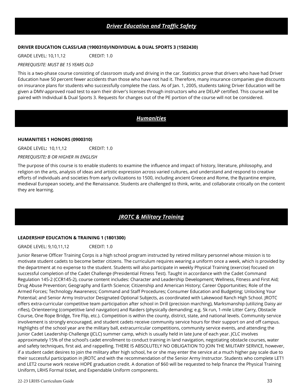#### **DRIVER EDUCATION CLASS/LAB (1900310)/INDIVIDUAL & DUAL SPORTS 3 (1502430)**

GRADE LEVEL: 10,11,12 CREDIT: 1.0

#### *PREREQUISITE: MUST BE 15 YEARS OLD*

This is a two-phase course consisting of classroom study and driving in the car. Statistics prove that drivers who have had Driver Education have 50 percent fewer accidents than those who have not had it. Therefore, many insurance companies give discounts on insurance plans for students who successfully complete the class. As of Jan. 1, 2005, students taking Driver Education will be given a DMV-approved road test to earn their driver's licenses through instructors who are DELAP certified. This course will be paired with Individual & Dual Sports 3. Requests for changes out of the PE portion of the course will not be considered.

## *Humanities*

#### **HUMANITIES 1 HONORS (0900310)**

GRADE LEVEL**:** 10,11,12 CREDIT: 1.0

*PREREQUISITE: B OR HIGHER IN ENGLISH*

The purpose of this course is to enable students to examine the influence and impact of history, literature, philosophy, and religion on the arts, analysis of ideas and artistic expression across varied cultures, and understand and respond to creative efforts of individuals and societies from early civilizations to 1500, including ancient Greece and Rome, the Byzantine empire, medieval European society, and the Renaissance. Students are challenged to think, write, and collaborate critically on the content they are learning.

## *JROTC & Military Training*

#### **LEADERSHIP EDUCATION & TRAINING 1 (1801300)**

GRADE LEVEL: 9,10,11,12 CREDIT: 1.0

Junior Reserve Officer Training Corps is a high school program instructed by retired military personnel whose mission is to motivate student cadets to become better citizens. The curriculum requires wearing a uniform once a week, which is provided by the department at no expense to the student. Students will also participate in weekly Physical Training (exercise) focused on successful completion of the Cadet Challenge (Presidential Fitness Test). Taught in accordance with the Cadet Command Regulation 145-2 (CCR145-2), course content includes: Character and Leadership Development; Wellness, Fitness and First Aid; Drug Abuse Prevention; Geography and Earth Science; Citizenship and American History; Career Opportunities; Role of the Armed Forces; Technology Awareness; Command and Staff Procedures; Consumer Education and Budgeting; Unlocking Your Potential; and Senior Army Instructor Designated Optional Subjects, as coordinated with Lakewood Ranch High School. JROTC offers extra-curricular competitive team participation after school in Drill (precision marching), Marksmanship (utilizing Daisy air rifles), Orienteering (competitive land navigation) and Raiders (physically demanding; e.g. 5k run, 1-mile Litter Carry, Obstacle Course, One Rope Bridge, Tire Flip, etc.). Competition is within the county, district, state, and national levels. Community service involvement is strongly encouraged, and student cadets receive community service hours for their support on and off campus. Highlights of the school year are the military ball, extracurricular competitions, community service events, and attending the Junior Cadet Leadership Challenge (JCLC) summer camp, which is usually held in late June of each year. JCLC involves approximately 15% of the school's cadet enrollment to conduct training in land navigation, negotiating obstacle courses, water and safety techniques, first aid, and rappelling. THERE IS ABSOLUTELY NO OBLIGATION TO JOIN THE MILITARY SERVICE, however, if a student cadet desires to join the military after high school, he or she may enter the service at a much higher pay scale due to their successful participation in JROTC and with the recommendation of the Senior Army Instructor. Students who complete LET1 and LET2 course work receive HOPE graduation credit. A donation of \$60 will be requested to help finance the Physical Training Uniform, LRHS Formal ticket, and Expendable Uniform components.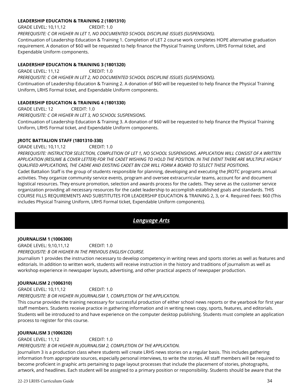#### **LEADERSHIP EDUCATION & TRAINING 2 (1801310)**

GRADE LEVEL: 10,11,12 CREDIT: 1.0 *PREREQUISITE: C OR HIGHER IN LET 1, NO DOCUMENTED SCHOOL DISCIPLINE ISSUES (SUSPENSIONS).* Continuation of Leadership Education & Training 1. Completion of LET 2 course work completes HOPE alternative graduation requirement. A donation of \$60 will be requested to help finance the Physical Training Uniform, LRHS Formal ticket, and Expendable Uniform components.

#### **LEADERSHIP EDUCATION & TRAINING 3 (1801320)**

GRADE LEVEL: 11,12 CREDIT: 1.0 *PREREQUISITE: C OR HIGHER IN LET 2, NO DOCUMENTED SCHOOL DISCIPLINE ISSUES (SUSPENSIONS).* Continuation of Leadership Education & Training 2. A donation of \$60 will be requested to help finance the Physical Training Uniform, LRHS Formal ticket, and Expendable Uniform components.

#### **LEADERSHIP EDUCATION & TRAINING 4 (1801330)**

GRADE LEVEL: 12 CREDIT: 1.0 *PREREQUISITE: C OR HIGHER IN LET 3, NO SCHOOL SUSPENSIONS.* Continuation of Leadership Education & Training 3. A donation of \$60 will be requested to help finance the Physical Training Uniform, LRHS Formal ticket, and Expendable Uniform components.

#### **JROTC BATTALION STAFF (1801310-330)**

GRADE LEVEL: 10,11,12 CREDIT: 1.0

*PREREQUISITE: INSTRUCTOR SELECTION, COMPLETION OF LET 1, NO SCHOOL SUSPENSIONS. APPLICATION WILL CONSIST OF A WRITTEN APPLICATION (RESUME & COVER LETTER) FOR THE CADET WISHING TO HOLD THE POSITION. IN THE EVENT THERE ARE MULTIPLE HIGHLY QUALIFIED APPLICATIONS, THE CADRE AND EXISTING CADET BN CDR WILL FORM A BOARD TO SELECT THESE POSITIONS.* Cadet Battalion Staff is the group of students responsible for planning, developing and executing the JROTC programs annual activities. They organize community service events, program and oversee extracurricular teams, account for and document logistical resources. They ensure promotion, selection and awards process for the cadets. They serve as the customer service organization providing all necessary resources for the cadet leadership to accomplish established goals and standards. THIS COURSE FILLS REQUIREMENTS AND SUBSTITUTES FOR LEADERSHIP EDUCATION & TRAINING 2, 3, or 4. Required Fees: \$60 (This includes Physical Training Uniform, LRHS Formal ticket, Expendable Uniform components).

#### *Language Arts*

#### **JOURNALISM 1 (1006300)**

GRADE LEVEL: 9,10,11,12 CREDIT: 1.0 *PREREQUISITE: B OR HIGHER IN THE PREVIOUS ENGLISH COURSE.* 

Journalism 1 provides the instruction necessary to develop competency in writing news and sports stories as well as features and editorials. In addition to written work, students will receive instruction in the history and traditions of journalism as well as workshop experience in newspaper layouts, advertising, and other practical aspects of newspaper production.

#### **JOURNALISM 2 (1006310)**

GRADE LEVEL: 10,11,12 CREDIT: 1.0 *PREREQUISITE: B OR HIGHER IN JOURNALISM 1, COMPLETION OF THE APPLICATION.* 

This course provides the training necessary for successful production of either school news reports or the yearbook for first year staff members. Students receive practice in gathering information and in writing news copy, sports, features, and editorials. Students will be introduced to and have experience on the computer desktop publishing. Students must complete an application process to register for this course.

#### **JOURNALISM 3 (1006320)**

GRADE LEVEL: 11,12 CREDIT: 1.0 *PREREQUISITE: B OR HIGHER IN JOURNALISM 2, COMPLETION OF THE APPLICATION.*  Journalism 3 is a production class where students will create LRHS news stories on a regular basis. This includes gathering information from appropriate sources, especially personal interviews, to write the stories. All staff members will be required to

become proficient in graphic arts pertaining to page layout processes that include the placement of stories, photographs, artwork, and headlines. Each student will be assigned to a primary position or responsibility. Students should be aware that the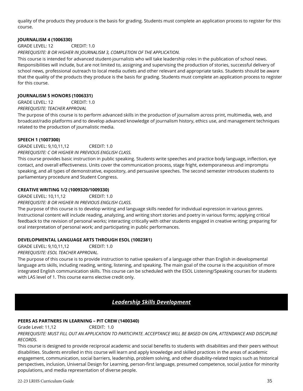quality of the products they produce is the basis for grading. Students must complete an application process to register for this course.

#### **JOURNALISM 4 (1006330)**

GRADE LEVEL: 12 CREDIT: 1.0

#### *PREREQUISITE: B OR HIGHER IN JOURNALISM 3, COMPLETION OF THE APPLICATION.*

This course is intended for advanced student-journalists who will take leadership roles in the publication of school news. Responsibilities will include, but are not limited to, assigning and supervising the production of stories, successful delivery of school news, professional outreach to local media outlets and other relevant and appropriate tasks. Students should be aware that the quality of the products they produce is the basis for grading. Students must complete an application process to register for this course.

#### **JOURNALISM 5 HONORS (1006331)**

GRADE LEVEL: 12 CREDIT: 1.0

#### *PREREQUISITE: TEACHER APPROVAL*

The purpose of this course is to perform advanced skills in the production of journalism across print, multimedia, web, and broadcast/radio platforms and to develop advanced knowledge of journalism history, ethics use, and management techniques related to the production of journalistic media.

#### **SPEECH 1 (1007300)**

GRADE LEVEL: 9,10,11,12 CREDIT: 1.0 *PREREQUISITE: C OR HIGHER IN PREVIOUS ENGLISH CLASS.* 

This course provides basic instruction in public speaking. Students write speeches and practice body language, inflection, eye contact, and overall effectiveness. Units cover the communication process, stage fright, extemporaneous and impromptu speaking, and all types of demonstrative, expository, and persuasive speeches. The second semester introduces students to parliamentary procedure and Student Congress.

#### **CREATIVE WRITING 1/2 (1009320/1009330)**

GRADE LEVEL: 10,11,12 CREDIT: 1.0

*PREREQUISITE: B OR HIGHER IN PREVIOUS ENGLISH CLASS.* 

The purpose of this course is to develop writing and language skills needed for individual expression in various genres. Instructional content will include reading, analyzing, and writing short stories and poetry in various forms; applying critical feedback to the revision of personal works; interacting critically with other students engaged in creative writing; preparing for oral interpretation of personal work; and participating in public performances.

#### **DEVELOPMENTAL LANGUAGE ARTS THROUGH ESOL (1002381)**

GRADE LEVEL: 9,10,11,12 CREDIT: 1.0

*PREREQUISITE: ESOL TEACHER APPROVAL.*

The purpose of this course is to provide instruction to native speakers of a language other than English in developmental language arts skills, including reading, writing, listening, and speaking. The main goal of the course is the acquisition of more integrated English communication skills. This course can be scheduled with the ESOL Listening/Speaking courses for students with LAS level of 1. This course earns elective credit only.

## *Leadership Skills Development*

#### **PEERS AS PARTNERS IN LEARNING – PIT CREW (1400340)**

Grade Level: 11.12 CREDIT: 1.0

*PREREQUISITE: MUST FILL OUT AN APPLICATION TO PARTICIPATE. ACCEPTANCE WILL BE BASED ON GPA, ATTENDANCE AND DISCIPLINE RECORDS.*

This course is designed to provide reciprocal academic and social benefits to students with disabilities and their peers without disabilities. Students enrolled in this course will learn and apply knowledge and skilled practices in the areas of academic engagement, communication, social barriers, leadership, problem solving, and other disability-related topics such as historical perspectives, inclusion, Universal Design for Learning, person-first language, presumed competence, social justice for minority populations, and media representation of diverse people.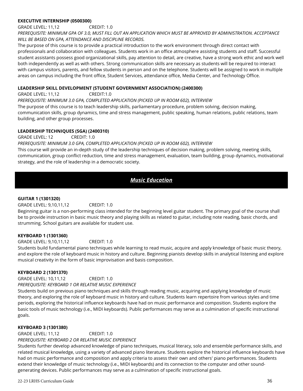#### **EXECUTIVE INTERNSHIP (0500300)**

GRADE LEVEL: 11,12 CREDIT: 1.0

*PREREQUISITE: MINIMUM GPA OF 3.0, MUST FILL OUT AN APPLICATION WHICH MUST BE APPROVED BY ADMINISTRATION. ACCEPTANCE WILL BE BASED ON GPA, ATTENDANCE AND DISCIPLINE RECORDS.*

The purpose of this course is to provide a practical introduction to the work environment through direct contact with professionals and collaboration with colleagues. Students work in an office atmosphere assisting students and staff. Successful student assistants possess good organizational skills, pay attention to detail, are creative, have a strong work ethic and work well both independently as well as with others. Strong communication skills are necessary as students will be required to interact with campus visitors, parents, and fellow students in person and on the telephone. Students will be assigned to work in multiple areas on campus including the front office, Student Services, attendance office, Media Center, and Technology Office.

#### **LEADERSHIP SKILL DEVELOPMENT (STUDENT GOVERNMENT ASSOCIATION) (2400300)**

GRADE LEVEL: 11,12 CREDIT:1.0 *PREREQUISITE: MINIMUM 3.0 GPA, COMPLETED APPLICATION (PICKED UP IN ROOM 602), INTERVIEW* The purpose of this course is to teach leadership skills, parliamentary procedure, problem solving, decision making, communication skills, group dynamics, time and stress management, public speaking, human relations, public relations, team building, and other group processes.

#### **LEADERSHIP TECHNIQUES (SGA) (2400310)**

GRADE LEVEL: 12 CREDIT: 1.0

*PREREQUISITE: MINIMUM 3.0 GPA, COMPLETED APPLICATION (PICKED UP IN ROOM 602), INTERVIEW*

This course will provide an in-depth study of the leadership techniques of decision making, problem solving, meeting skills, communication, group conflict reduction, time and stress management, evaluation, team building, group dynamics, motivational strategy, and the role of leadership in a democratic society.

## *Music Education*

#### **GUITAR 1 (1301320)**

| GRADE LEVEL: 9,10,11,12 | CREDIT: 1.0 |
|-------------------------|-------------|
|-------------------------|-------------|

Beginning guitar is a non-performing class intended for the beginning level guitar student. The primary goal of the course shall be to provide instruction in basic music theory and playing skills as related to guitar, including note reading, basic chords, and strumming. School guitars are available for student use.

#### **KEYBOARD 1 (1301360)**

GRADE LEVEL: 9,10,11,12 CREDIT: 1.0

Students build fundamental piano techniques while learning to read music, acquire and apply knowledge of basic music theory, and explore the role of keyboard music in history and culture. Beginning pianists develop skills in analytical listening and explore musical creativity in the form of basic improvisation and basis composition.

#### **KEYBOARD 2 (1301370)**

GRADE LEVEL: 10,11,12 CREDIT: 1.0 *PREREQUISITE: KEYBOARD 1 OR RELATIVE MUSIC EXPERIENCE*

Students build on previous piano techniques and skills through reading music, acquiring and applying knowledge of music theory, and exploring the role of keyboard music in history and culture. Students learn repertoire from various styles and time periods, exploring the historical influence keyboards have had on music performance and composition. Students explore the basic tools of music technology (i.e., MIDI keyboards). Public performances may serve as a culmination of specific instructional goals.

#### **KEYBOARD 3 (1301380)**

GRADE LEVEL: 11,12 CREDIT: 1.0 *PREREQUISITE: KEYBOARD 2 OR RELATIVE MUSIC EXPERIENCE*

Students further develop advanced knowledge of piano techniques, musical literacy, solo and ensemble performance skills, and related musical knowledge, using a variety of advanced piano literature. Students explore the historical influence keyboards have had on music performance and composition and apply criteria to assess their own and others' piano performances. Students extend their knowledge of music technology (i.e., MIDI keyboards) and its connection to the computer and other soundgenerating devices. Public performances may serve as a culmination of specific instructional goals.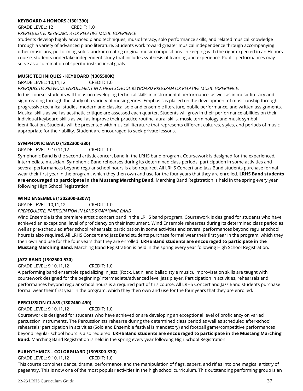#### **KEYBOARD 4 HONORS (1301390)**

GRADE LEVEL: 12 CREDIT: 1.0

*PREREQUISITE: KEYBOARD 3 OR RELATIVE MUSIC EXPERIENCE*

Students develop highly advanced piano techniques, music literacy, solo performance skills, and related musical knowledge through a variety of advanced piano literature. Students work toward greater musical independence through accompanying other musicians, performing solos, and/or creating original music compositions. In keeping with the rigor expected in an Honors course, students undertake independent study that includes synthesis of learning and experience. Public performances may serve as a culmination of specific instructional goals.

#### **MUSIC TECHNIQUES - KEYBOARD (1305500K)**

GRADE LEVEL: 10,11,12 CREDIT: 1.0

*PRERQUISITE: PREVIOUS ENROLLMENT IN A HIGH SCHOOL KEYBOARD PROGRAM OR RELATIVE MUSIC EXPERIENCE.*

In this course, students will focus on developing technical skills in instrumental performance, as well as in music literacy and sight reading through the study of a variety of music genres. Emphasis is placed on the development of musicianship through progressive technical studies, modern and classical solo and ensemble literature, public performance, and written assignments. Musical skills as well as aesthetic critique are assessed each quarter. Students will grow in their performance abilities on their individual keyboard skills as well as improve their practice routine, aural skills, music terminology and music symbol identification. Students will be presented with musical literature that represents different cultures, styles, and periods of music appropriate for their ability. Student are encouraged to seek private lessons.

#### **SYMPHONIC BAND (1302300-330)**

#### GRADE LEVEL: 9,10,11,12 CREDIT: 1.0

Symphonic Band is the second artistic concert band in the LRHS band program. Coursework is designed for the experienced, intermediate musician. Symphonic Band rehearses during its determined class periods; participation in some activities and several performances beyond regular school hours is also required. All LRHS Concert and Jazz Band students purchase formal wear their first year in the program, which they then own and use for the four years that they are enrolled. **LRHS Band students are encouraged to participate in the Mustang Marching Band.** Marching Band Registration is held in the spring every year following High School Registration.

#### **WIND ENSEMBLE (1302300-330W)**

GRADE LEVEL: 10,11,12 CREDIT: 1.0

*PREREQUISITE: PARTICIPATION IN LRHS SYMPHONIC BAND* 

Wind Ensemble is the premiere artistic concert band in the LRHS band program. Coursework is designed for students who have achieved an exceptional level of proficiency on their instrument. Wind Ensemble rehearses during its determined class period as well as pre-scheduled after school rehearsals; participation in some activities and several performances beyond regular school hours is also required. All LRHS Concert and Jazz Band students purchase formal wear their first year in the program, which they then own and use for the four years that they are enrolled. **LRHS Band students are encouraged to participate in the Mustang Marching Band.** Marching Band Registration is held in the spring every year following High School Registration.

#### **JAZZ BAND (1302500-530)**

GRADE LEVEL: 9,10,11,12 CREDIT: 1.0

A performing band ensemble specializing in Jazz; (Rock, Latin, and ballad style music). Improvisation skills are taught with coursework designed for the beginning/intermediate/advanced level jazz player. Participation in activities, rehearsals and performances beyond regular school hours is a required part of this course. All LRHS Concert and Jazz Band students purchase formal wear their first year in the program, which they then own and use for the four years that they are enrolled.

#### **PERCUSSION CLASS (1302460-490)**

#### GRADE LEVEL: 9,10,11,12 CREDIT: 1.0

Coursework is designed for students who have achieved or are developing an exceptional level of proficiency on varied percussion instruments. The Percussionists rehearse during the determined class period as well as scheduled after-school rehearsals; participation in activities (Solo and Ensemble festival is mandatory) and football game/competitive performances beyond regular school hours is also required. **LRHS Band students are encouraged to participate in the Mustang Marching Band.** Marching Band Registration is held in the spring every year following High School Registration.

#### **EURHYTHMICS – COLORGUARD (1305300-330)**

#### GRADE LEVEL: 9,10,11,12 CREDIT: 1.0

This course combines dance, drama, performance, and the manipulation of flags, sabers, and rifles into one magical artistry of pageantry. This is now one of the most popular activities in the high school curriculum. This outstanding performing group is an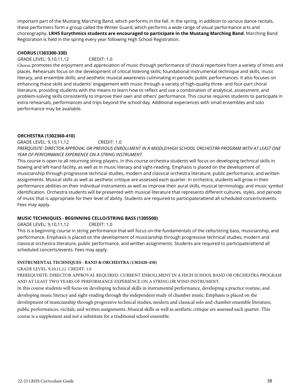important part of the Mustang Marching Band, which performs in the fall. In the spring, in addition to various dance recitals, these performers form a group called the Winter Guard, which performs a wide range of visual performance arts and choreography. **LRHS Eurythmics students are encouraged to participate in the Mustang Marching Band**. Marching Band Registration is held in the spring every year following High School Registration.

#### **CHORUS (1303300-330)**

#### GRADE LEVEL: 9,10,11,12 CREDIT: 1.0

Chorus promotes the enjoyment and appreciation of music through performance of choral repertoire from a variety of times and places. Rehearsals focus on the development of critical listening skills; foundational instrumental technique and skills, music literacy, and ensemble skills; and aesthetic musical awareness culminating in periodic public performances. It also focuses on enhancing these skills and students' engagement with music through a variety of high-quality three- and four-part choral literature, providing students with the means to learn how to reflect and use a combination of analytical, assessment, and problem-solving skills consistently to improve their own and others' performance. This course requires students to participate in extra rehearsals, performances and trips beyond the school day. Additional experiences with small ensembles and solo performance may be available.

#### **ORCHESTRA (1302360-410)**

GRADE LEVEL: 9,10,11,12 CREDIT: 1.0 *PRERQUISITE: DIRECTOR APPROVAL OR PREVIOUS ENROLLMENT IN A MIDDLE/HIGH SCHOOL ORCHESTRA PROGRAM WITH AT LEAST ONE YEAR OF PERFORMANCE EXPERIENCE ON A STRING INSTRUMENT.* 

This course is open to all returning string players. In this course orchestra students will focus on developing technical skills in bowing and left-hand facility, as well as in music literacy and sight-reading. Emphasis is placed on the development of musicianship through progressive technical studies, modern and classical orchestra literature, public performance, and written assignments. Musical skills as well as aesthetic critique are assessed each quarter. In orchestra, students will grow in their performance abilities on their individual instruments as well as improve their aural skills, musical terminology, and music symbol identification. Orchestra students will be presented with musical literature that represents different cultures, styles, and periods of music that is appropriate for their level of ability. Students are required to participate/attend all scheduled concerts/events. Fees may apply.

#### **MUSIC TECHNIQUES - BEGINNING CELLO/STRING BASS (1305500)**

GRADE LEVEL: 9,10,11,12 CREDIT: 1.0

This is a beginning course in string performance that will focus on the fundamentals of the cello/string bass, musicianship, and performance. Emphasis is placed on the development of musicianship through progressive technical studies, modern and classical orchestra literature, public performance, and written assignments. Students are required to participate/attend all scheduled concerts/events. Fees may apply.

#### **INSTRUMENTAL TECHNIQUES - BAND & ORCHESTRA (1302420-450)**

#### GRADE LEVEL: 9,10,11,12 CREDIT: 1.0

PREREQUISITE: DIRECTOR APPROVAL REQUIRED. CURRENT ENROLLMENT IN A HIGH SCHOOL BAND OR ORCHESTRA PROGRAM AND AT LEAST TWO YEARS OF PERFORMANCE EXPERIENCE ON A STRING OR WIND INSTRUMENT.

In this course students will focus on developing technical skills in instrumental performance, developing a practice routine, and developing music literacy and sight-reading through the independent study of chamber music. Emphasis is placed on the development of musicianship through progressive technical studies, modern and classical solo and chamber ensemble literature, public performances, recitals, and written assignments. Musical skills as well as aesthetic critique are assessed each quarter. This course is a supplement and not a substitute for a traditional school ensemble.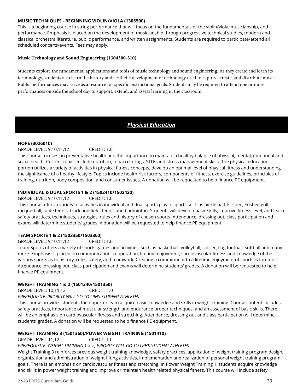#### **MUSIC TECHNIQUES - BEGINNING VIOLIN/VIOLA (1305500)**

This is a beginning course in string performance that will focus on the fundamentals of the violin/viola, musicianship, and performance. Emphasis is placed on the development of musicianship through progressive technical studies, modern and classical orchestra literature, public performance, and written assignments. Students are required to participate/attend all scheduled concerts/events. Fees may apply.

#### **Music Technology and Sound Engineering (1304300-310)**

Students explore the fundamental applications and tools of music technology and sound engineering. As they create and learn its terminology, students also learn the history and aesthetic development of technology used to capture, create, and distribute music. Public performances may serve as a resource for specific instructional goals. Students may be required to attend one or more performances outside the school day to support, extend, and assess learning in the classroom.

## *Physical Education*

#### **HOPE (3026010)**

#### GRADE LEVEL: 9,10,11,12 CREDIT: 1.0

This course focuses on preventative health and the importance to maintain a healthy balance of physical, mental, emotional and social health. Current topics include nutrition, tobacco, drugs, STDs and stress management skills. The physical education portion utilizes a variety of activities in physical fitness concepts, develop an optimal level of physical fitness and understanding the significance of a heathy lifestyle. Topics include health risk factors, components of fitness, exercise guidelines, principles of training, nutrition, body composition, and consumer issues. A donation will be requested to help finance PE equipment.

#### **INDIVIDUAL & DUAL SPORTS 1 & 2 (1502410/1502420)**

GRADE LEVEL: 9,10,11,12 CREDIT: 1.0

This course offers a variety of activities in individual and dual sports play in sports such as pickle ball, Frisbee, Frisbee golf, racquetball, table tennis, track and field, tennis and badminton. Students will develop basic skills, improve fitness level, and learn safety practices, techniques, strategies, rules and history of chosen sports. Attendance, dressing out, class participation and exams will determine students' grades. A donation will be requested to help finance PE equipment.

#### **TEAM SPORTS 1 & 2 (1503350/1503360)**

GRADE LEVEL: 9,10,11,12 CREDIT: 1.0

Team Sports offers a variety of sports games and activities, such as basketball, volleyball, soccer, flag football, softball and many more. Emphasis is placed on communication, cooperation, lifetime enjoyment, cardiovascular fitness and knowledge of the various sports as to history, rules, safety, and teamwork. Creating a commitment to a lifetime enjoyment of sports is foremost. Attendance, dressing out, class participation and exams will determine students' grades. A donation will be requested to help finance PE equipment.

#### **WEIGHT TRAINING 1 & 2 (1501340/1501350)**

GRADE LEVEL: 10,11,12 CREDIT: 1.0 *PREREQUISITE: PRIORITY WILL GO TO LRHS STUDENT ATHLETES* 

This course provides students the opportunity to acquire basic knowledge and skills in weight training. Course content includes safety practices, importance of muscular strength and endurance proper techniques, and an assessment of basic skills. There will be an emphasis on cardiovascular fitness and stretching. Attendance, dressing out and class participation will determine students' grades. A donation will be requested to help finance PE equipment.

#### **WEIGHT TRAINING 3 (1501360)/POWER WEIGHT TRAINING (1501410)**

GRADE LEVEL: 11,12 CREDIT: 1.0

#### *PREREQUISITE: WEIGHT TRAINING 1 & 2, PRIORITY WILL GO TO LRHS STUDENT ATHLETES*

Weight Training 3 reinforces previous weight training knowledge, safety practices, application of weight training program design, organization and administration of weight-lifting activities, implementation and realization of personal weight training program goals. There is an emphasis on cardiovascular fitness and stretching. In Power Weight Training 1, students acquire knowledge and skills in power weight training and improve or maintain health related physical fitness. This course will include safety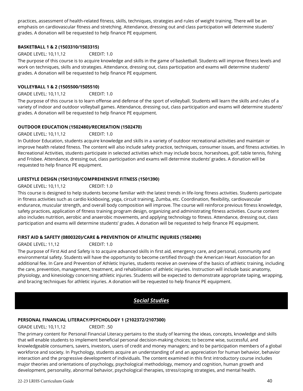practices, assessment of health-related fitness, skills, techniques, strategies and rules of weight training. There will be an emphasis on cardiovascular fitness and stretching. Attendance, dressing out and class participation will determine students' grades. A donation will be requested to help finance PE equipment.

#### **BASKETBALL 1 & 2 (1503310/1503315)**

#### GRADE LEVEL: 10,11,12 CREDIT: 1.0

The purpose of this course is to acquire knowledge and skills in the game of basketball. Students will improve fitness levels and work on techniques, skills and strategies. Attendance, dressing out, class participation and exams will determine students' grades. A donation will be requested to help finance PE equipment.

#### **VOLLEYBALL 1 & 2 (1505500/1505510)**

GRADE LEVEL: 10,11,12 CREDIT: 1.0

The purpose of this course is to learn offense and defense of the sport of volleyball. Students will learn the skills and rules of a variety of indoor and outdoor volleyball games. Attendance, dressing out, class participation and exams will determine students' grades. A donation will be requested to help finance PE equipment.

#### **OUTDOOR EDUCATION (1502480)/RECREATION (1502470)**

GRADE LEVEL: 10,11,12 CREDIT: 1.0

In Outdoor Education, students acquire knowledge and skills in a variety of outdoor recreational activities and maintain or improve health related fitness. The content will also include safety practice, techniques, consumer issues, and fitness activities. In Recreational Activities, students participate in selected activities which may include bocce, horseshoes, golf, table tennis, fishing and Frisbee. Attendance, dressing out, class participation and exams will determine students' grades. A donation will be requested to help finance PE equipment.

#### **LIFESTYLE DESIGN (1501310)/COMPREHENSIVE FITNESS (1501390)**

#### GRADE LEVEL: 10,11,12 CREDIT: 1.0

This course is designed to help students become familiar with the latest trends in life-long fitness activities. Students participate in fitness activities such as cardio kickboxing, yoga, circuit training, Zumba, etc. Coordination, flexibility, cardiovascular endurance, muscular strength, and overall body composition will improve. The course will reinforce previous fitness knowledge, safety practices, application of fitness training program design, organizing and administrating fitness activities. Course content also includes nutrition, aerobic and anaerobic movements, and applying technology to fitness. Attendance, dressing out, class participation and exams will determine students' grades. A donation will be requested to help finance PE equipment.

#### **FIRST AID & SAFETY (0800320)/CARE & PREVENTION OF ATHLETIC INJURIES (1502490)**

GRADE LEVEL: 11,12 CREDIT: 1.0

The purpose of First Aid and Safety is to acquire advanced skills in first aid, emergency care, and personal, community and environmental safety. Students will have the opportunity to become certified through the American Heart Association for an additional fee. In Care and Prevention of Athletic Injuries, students receive an overview of the basics of athletic training, including the care, prevention, management, treatment, and rehabilitation of athletic injuries. Instruction will include basic anatomy, physiology, and kinesiology concerning athletic injuries. Students will be expected to demonstrate appropriate taping, wrapping, and bracing techniques for athletic injuries. A donation will be requested to help finance PE equipment.

## *Social Studies*

## **PERSONAL FINANCIAL LITERACY/PSYCHOLOGY 1 (2102372/2107300)**

GRADE LEVEL: 10,11,12 CREDIT: .50

The primary content for Personal Financial Literacy pertains to the study of learning the ideas, concepts, knowledge and skills that will enable students to implement beneficial personal decision-making choices; to become wise, successful, and knowledgeable consumers, savers, investors, users of credit and money managers; and to be participation members of a global workforce and society. In Psychology, students acquire an understanding of and an appreciation for human behavior, behavior interaction and the progressive development of individuals. The content examined in this first introductory course includes major theories and orientations of psychology, psychological methodology, memory and cognition, human growth and development, personality, abnormal behavior, psychological therapies, stress/coping strategies, and mental health.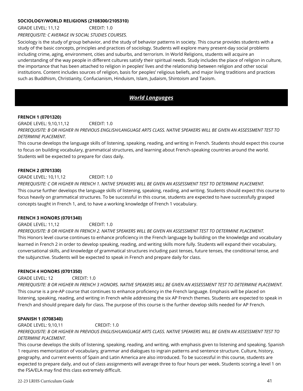#### **SOCIOLOGY/WORLD RELIGIONS (2108300/2105310)**

GRADE LEVEL: 11,12 CREDIT: 1.0

*PREREQUISITE: C AVERAGE IN SOCIAL STUDIES COURSES.*

Sociology is the study of group behavior, and the study of behavior patterns in society. This course provides students with a study of the basic concepts, principles and practices of sociology. Students will explore many present-day social problems including crime, aging, environment, cities and suburbs, and terrorism. In World Religions, students will acquire an understanding of the way people in different cultures satisfy their spiritual needs. Study includes the place of religion in culture, the importance that has been attached to religion in peoples' lives and the relationship between religion and other social institutions. Content includes sources of religion, basis for peoples' religious beliefs, and major living traditions and practices such as Buddhism, Christianity, Confucianism, Hinduism, Islam, Judaism, Shintoism and Taoism.

## *World Languages*

#### **FRENCH 1 (0701320)**

GRADE LEVEL: 9,10,11,12 CREDIT: 1.0 *PREREQUISITE: B OR HIGHER IN PREVIOUS ENGLISH/LANGUAGE ARTS CLASS. NATIVE SPEAKERS WILL BE GIVEN AN ASSESSMENT TEST TO DETERMINE PLACEMENT.*

This course develops the language skills of listening, speaking, reading, and writing in French. Students should expect this course to focus on building vocabulary, grammatical structures, and learning about French-speaking countries around the world. Students will be expected to prepare for class daily.

#### **FRENCH 2 (0701330)**

GRADE LEVEL: 10,11,12 CREDIT: 1.0

*PREREQUISITE: C OR HIGHER IN FRENCH 1. NATIVE SPEAKERS WILL BE GIVEN AN ASSESSMENT TEST TO DETERMINE PLACEMENT.* This course further develops the language skills of listening, speaking, reading, and writing. Students should expect this course to focus heavily on grammatical structures. To be successful in this course, students are expected to have successfully grasped concepts taught in French 1, and, to have a working knowledge of French 1 vocabulary.

#### **FRENCH 3 HONORS (0701340)**

GRADE LEVEL: 11,12 CREDIT: 1.0 *PREREQUISITE: B OR HIGHER IN FRENCH 2. NATIVE SPEAKERS WILL BE GIVEN AN ASSESSMENT TEST TO DETERMINE PLACEMENT.* This Honors level course continues to enhance proficiency in the French language by building on the knowledge and vocabulary learned in French 2 in order to develop speaking, reading, and writing skills more fully. Students will expand their vocabulary, conversational skills, and knowledge of grammatical structures including past tenses, future tenses, the conditional tense, and the subjunctive. Students will be expected to speak in French and prepare daily for class.

#### **FRENCH 4 HONORS (0701350)**

GRADE LEVEL: 12 CREDIT: 1.0

*PREREQUISITE: B OR HIGHER IN FRENCH 3 HONORS. NATIVE SPEAKERS WILL BE GIVEN AN ASSESSMENT TEST TO DETERMINE PLACEMENT.* This course is a pre-AP course that continues to enhance proficiency in the French language. Emphasis will be placed on listening, speaking, reading, and writing in French while addressing the six AP French themes. Students are expected to speak in French and should prepare daily for class. The purpose of this course is the further develop skills needed for AP French.

#### **SPANISH 1 (0708340)**

GRADE LEVEL: 9,10,11 CREDIT: 1.0 *PREREQUISITE: B OR HIGHER IN PREVIOUS ENGLISH/LANGUAGE ARTS CLASS. NATIVE SPEAKERS WILL BE GIVEN AN ASSESSMENT TEST TO DETERMINE PLACEMENT.*

This course develops the skills of listening, speaking, reading, and writing, with emphasis given to listening and speaking. Spanish 1 requires memorization of vocabulary, grammar and dialogues to ingrain patterns and sentence structure. Culture, history, geography, and current events of Spain and Latin America are also introduced. To be successful in this course, students are expected to prepare daily, and out of class assignments will average three to four hours per week. Students scoring a level 1 on the FSA/ELA may find this class extremely difficult.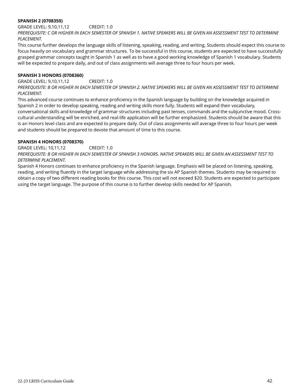#### **SPANISH 2 (0708350)**

GRADE LEVEL: 9,10,11,12 CREDIT: 1.0 *PREREQUISITE: C OR HIGHER IN EACH SEMESTER OF SPANISH 1. NATIVE SPEAKERS WILL BE GIVEN AN ASSESSMENT TEST TO DETERMINE PLACEMENT.*

This course further develops the language skills of listening, speaking, reading, and writing. Students should expect this course to focus heavily on vocabulary and grammar structures. To be successful in this course, students are expected to have successfully grasped grammar concepts taught in Spanish 1 as well as to have a good working knowledge of Spanish 1 vocabulary. Students will be expected to prepare daily, and out of class assignments will average three to four hours per week.

#### **SPANISH 3 HONORS (0708360)**

GRADE LEVEL: 9,10,11,12 CREDIT: 1.0 *PREREQUISITE: B OR HIGHER IN EACH SEMESTER OF SPANISH 2. NATIVE SPEAKERS WILL BE GIVEN AN ASSESSMENT TEST TO DETERMINE PLACEMENT.*

This advanced course continues to enhance proficiency in the Spanish language by building on the knowledge acquired in Spanish 2 in order to develop speaking, reading and writing skills more fully. Students will expand their vocabulary, conversational skills and knowledge of grammar structures including past tenses, commands and the subjunctive mood. Crosscultural understanding will be enriched, and real-life application will be further emphasized. Students should be aware that this is an Honors level class and are expected to prepare daily. Out of class assignments will average three to four hours per week and students should be prepared to devote that amount of time to this course.

#### **SPANISH 4 HONORS (0708370)**

GRADE LEVEL: 10,11,12 CREDIT: 1.0

*PREREQUISITE: B OR HIGHER IN EACH SEMESTER OF SPANISH 3 HONORS. NATIVE SPEAKERS WILL BE GIVEN AN ASSESSMENT TEST TO DETERMINE PLACEMENT.*

Spanish 4 Honors continues to enhance proficiency in the Spanish language. Emphasis will be placed on listening, speaking, reading, and writing fluently in the target language while addressing the six AP Spanish themes. Students may be required to obtain a copy of two different reading books for this course. This cost will not exceed \$20. Students are expected to participate using the target language. The purpose of this course is to further develop skills needed for AP Spanish.